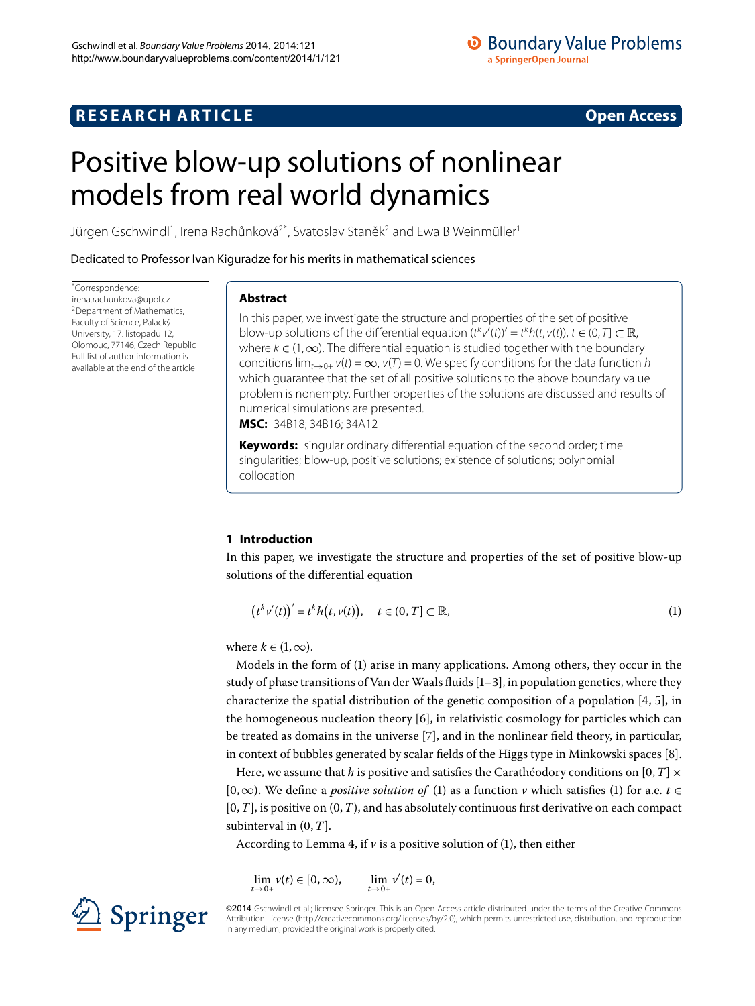## **RESEARCH ARTICLE Open Access**

## **O** Boundary Value Problems a SpringerOpen Journal

# <span id="page-0-0"></span>Positive blow-up solutions of nonlinear models from real world dynamics

Jürgen Gschwindl<sup>1</sup>, Irena Rachůnková<sup>[2](#page-21-1)[\\*](#page-0-0)</sup>, Svatoslav Staněk<sup>2</sup> and Ewa B Weinmüller<sup>[1](#page-21-0)</sup>

Dedicated to Professor Ivan Kiguradze for his merits in mathematical sciences

\* Correspondence: [irena.rachunkova@upol.cz](mailto:irena.rachunkova@upol.cz) 2Department of Mathematics, Faculty of Science, Palacký University, 17. listopadu 12, Olomouc, 77146, Czech Republic Full list of author information is available at the end of the article

#### **Abstract**

In this paper, we investigate the structure and properties of the set of positive blow-up solutions of the differential equation  $(t^k v'(t))' = t^k h(t, v(t)), t \in (0, T] \subset \mathbb{R}$ , where  $k \in (1,\infty)$ . The differential equation is studied together with the boundary conditions  $\lim_{t\to 0+} v(t) = \infty$ ,  $v(T) = 0$ . We specify conditions for the data function h which guarantee that the set of all positive solutions to the above boundary value problem is nonempty. Further properties of the solutions are discussed and results of numerical simulations are presented.

**MSC:** 34B18; 34B16; 34A12

<span id="page-0-1"></span>**Keywords:** singular ordinary differential equation of the second order; time singularities; blow-up, positive solutions; existence of solutions; polynomial collocation

### **1 Introduction**

In this paper, we investigate the structure and properties of the set of positive blow-up solutions of the differential equation

$$
(t^k v'(t))' = t^k h(t, v(t)), \quad t \in (0, T] \subset \mathbb{R}, \tag{1}
$$

where  $k \in (1, \infty)$ .

Models in the form of [\(](#page-0-1)1) arise in many applications. Among others, they occur in the study of phase transitions of Van der Waals fluids  $[1-3]$ , in population genetics, where they characterize the spatial distribution of the genetic composition of a population  $[4, 5]$  $[4, 5]$ , in the homogeneous nucleation theory  $[6]$ , in relativistic cosmology for particles which can be treated as domains in the universe  $[7]$  $[7]$ , and in the nonlinear field theory, in particular, in context of bubbles generated by scalar fields of the Higgs type in Minkowski spaces [8[\]](#page-21-8).

Here, we assume that *h* is positive and satisfies the Carathéodory conditions on [0, *T*]  $\times$ [0, ∞). We define a *positive solution of* [\(](#page-0-1)1) as a function *v* which satisfies (1) for a.e. *t* ∈  $[0, T]$ , is positive on  $(0, T)$ , and has absolutely continuous first derivative on each compact subinterval in  $(0, T]$ .

According to Lemma 4, if  $\nu$  is a positive solution of (1), then either

$$
\lim_{t \to 0+} v(t) \in [0, \infty), \qquad \lim_{t \to 0+} v'(t) = 0,
$$



©2014 Gschwindl et al.; licensee Springer. This is an Open Access article distributed under the terms of the Creative Commons Attribution License [\(http://creativecommons.org/licenses/by/2.0](http://creativecommons.org/licenses/by/2.0)), which permits unrestricted use, distribution, and reproduction in any medium, provided the original work is properly cited.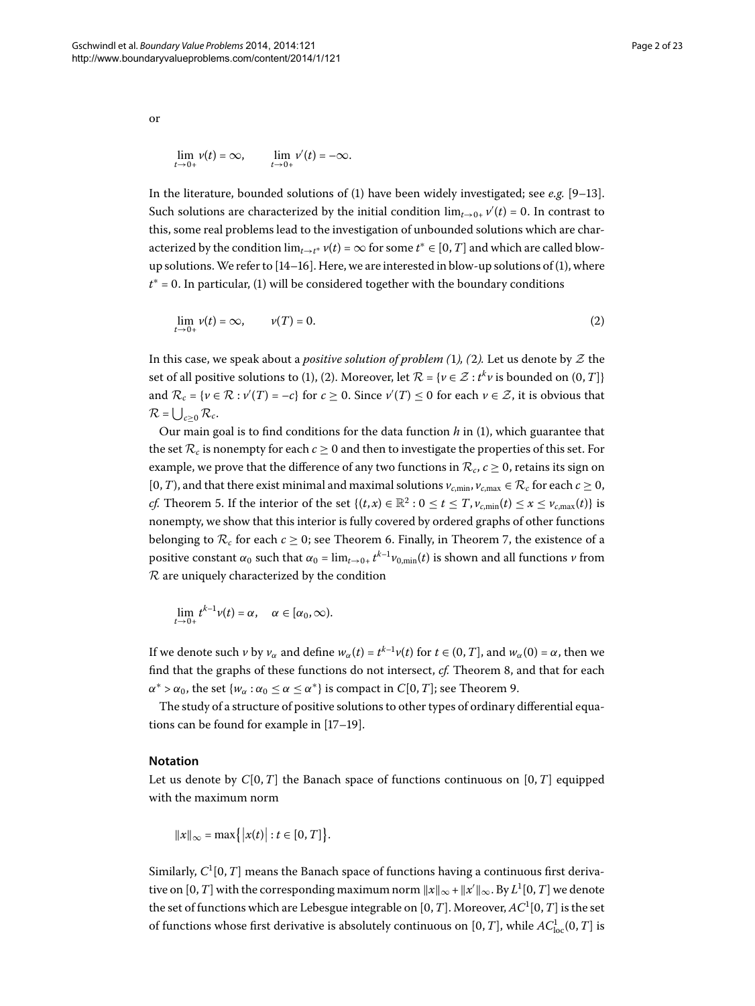<span id="page-1-0"></span>
$$
\lim_{t\to 0+}v(t)=\infty,\qquad \lim_{t\to 0+}v'(t)=-\infty.
$$

In the literature, bounded solutions of  $(1)$  $(1)$  have been widely investigated; see *e.g.*  $[9-13]$  $[9-13]$ . Such solutions are characterized by the initial condition  $\lim_{t\to 0+} \nu'(t) = 0$ . In contrast to this, some real problems lead to the investigation of unbounded solutions which are characterized by the condition  $\lim_{t\to t^*} v(t) = \infty$  for some  $t^* \in [0, T]$  and which are called blowup solutions. We refer to  $[14-16]$  $[14-16]$ . Here, we are interested in blow-up solutions of [\(](#page-0-1)1), where  $t^*$  = 0. In particular, [\(](#page-0-1)1) will be considered together with the boundary conditions

$$
\lim_{t \to 0+} \nu(t) = \infty, \qquad \nu(T) = 0. \tag{2}
$$

In this case, we speak about a *positive solution of problem* (1), (2). Let us denote by  $Z$  the set of all positive solutions to [\(](#page-1-0)1), (2). Moreover, let  $\mathcal{R} = \{v \in \mathcal{Z} : t^k v \text{ is bounded on } (0, T]\}$ and  $\mathcal{R}_c$  = { $\nu \in \mathcal{R} : \nu'(T) = -c$ } for  $c \ge 0$ . Since  $\nu'(T) \le 0$  for each  $\nu \in \mathcal{Z}$ , it is obvious that  $\mathcal{R} = \bigcup_{c \geq 0} \mathcal{R}_c$ .

Our main goal is to find conditions for the data function *h* in [\(](#page-0-1)), which guarantee that the set  $\mathcal{R}_c$  is nonempty for each  $c \geq 0$  and then to investigate the properties of this set. For example, we prove that the difference of any two functions in  $\mathcal{R}_c$ ,  $c \ge 0$ , retains its sign on [0, *T*), and that there exist minimal and maximal solutions  $v_{c,min}$ ,  $v_{c,max} \in \mathcal{R}_c$  for each  $c \ge 0$ , *cf[.](#page-14-0)* Theorem 5. If the interior of the set  $\{(t, x) \in \mathbb{R}^2 : 0 \le t \le T, v_{c,\text{min}}(t) \le x \le v_{c,\text{max}}(t)\}\)$  is nonempty, we show that this interior is fully covered by ordered graphs of other functions belonging to  $\mathcal{R}_c$  for each  $c \geq 0$ ; see Theorem 6. Finally[,](#page-15-1) in Theorem 7, the existence of a positive constant  $\alpha_0$  such that  $\alpha_0 = \lim_{t \to 0+} t^{k-1} \nu_{0,\min}(t)$  is shown and all functions  $\nu$  from  $R$  are uniquely characterized by the condition

$$
\lim_{t\to 0+}t^{k-1}\nu(t)=\alpha,\quad \alpha\in[\alpha_0,\infty).
$$

If we denote such *v* by  $v_\alpha$  and define  $w_\alpha(t) = t^{k-1}v(t)$  for  $t \in (0, T]$ , and  $w_\alpha(0) = \alpha$ , then we find that the graphs of these functions do not intersect[,](#page-16-0) *cf.* Theorem 8, and that for each  $\alpha^* > \alpha_0$ , the set  $\{w_\alpha : \alpha_0 \leq \alpha \leq \alpha^*\}$  is compact in *C*[0, *T*]; see Theorem 9[.](#page-16-1)

The study of a structure of positive solutions to other types of ordinary differential equations can be found for example in  $[17-19]$  $[17-19]$ .

#### **Notation**

Let us denote by  $C[0, T]$  the Banach space of functions continuous on  $[0, T]$  equipped with the maximum norm

$$
||x||_{\infty} = \max\{|x(t)| : t \in [0, T]\}.
$$

Similarly,  $C^1[0,T]$  means the Banach space of functions having a continuous first derivative on  $[0, T]$  with the corresponding maximum norm  $||x||_{\infty} + ||x'||_{\infty}$ . By  $L^1[0, T]$  we denote the set of functions which are Lebesgue integrable on  $[0,T]$ . Moreover,  $AC^1[0,T]$  is the set of functions whose first derivative is absolutely continuous on  $[0, T]$ , while  $AC^1_{\text{loc}}(0, T]$  is

or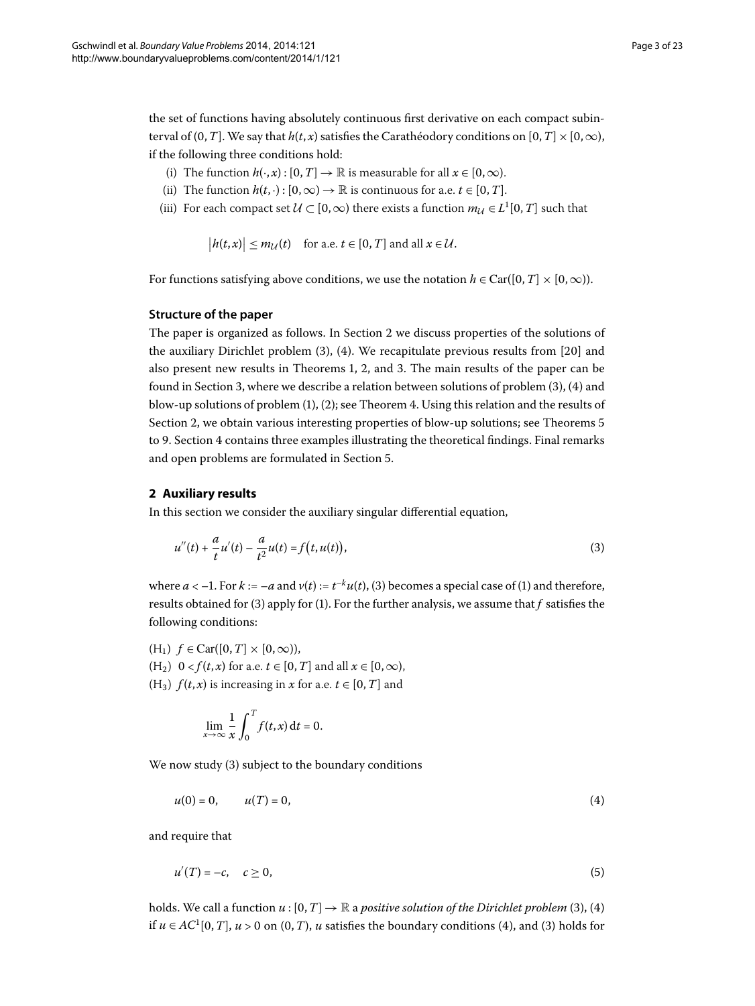the set of functions having absolutely continuous first derivative on each compact subinterval of  $(0, T]$ . We say that  $h(t, x)$  satisfies the Carathéodory conditions on  $[0, T] \times [0, \infty)$ , if the following three conditions hold:

- (i) The function  $h(\cdot, x) : [0, T] \to \mathbb{R}$  is measurable for all  $x \in [0, \infty)$ .
- (ii) The function  $h(t, \cdot) : [0, \infty) \to \mathbb{R}$  is continuous for a.e.  $t \in [0, T]$ .
- (iii) For each compact set  $U \subset [0, \infty)$  there exists a function  $m_U \in L^1[0, T]$  such that

 $|h(t, x)| \le m_{\mathcal{U}}(t)$  for a.e.  $t \in [0, T]$  and all  $x \in \mathcal{U}$ .

For functions satisfying above conditions, we use the notation  $h \in \text{Car}([0, T] \times [0, \infty))$ .

#### **Structure of the paper**

<span id="page-2-0"></span>The paper is organized as follows. In Section 2 we discuss properties of the solutions of the auxiliary Dirichlet problem  $(3)$  $(3)$ ,  $(4)$ . We recapitulate previous results from  $[20]$  and also present new results in Theorems 1[,](#page-3-0) 2, and 3. The main results of the paper can be found in Section 3, where we describe a relation between solutions of problem  $(3)$  $(3)$  $(3)$ ,  $(4)$  and blow-up solutions of problem  $(1)$  $(1)$ ,  $(2)$ ; see Theorem 4[.](#page-13-0) Using this relation and the results of Section 2[,](#page-2-0) we obtain various interesting properties of blow-up solutions; see Theorems 5 to 9. Section 4 contains three examples illustrating the theoretical findings. Final remarks and open problems are formulated in Section 5[.](#page-21-10)

#### **2 Auxiliary results**

In this section we consider the auxiliary singular differential equation,

<span id="page-2-1"></span>
$$
u''(t) + \frac{a}{t}u'(t) - \frac{a}{t^2}u(t) = f(t, u(t)),
$$
\n(3)

where  $a < -1$ . For  $k := -a$  and  $v(t) := t^{-k}u(t)$  $v(t) := t^{-k}u(t)$  $v(t) := t^{-k}u(t)$  $v(t) := t^{-k}u(t)$  $v(t) := t^{-k}u(t)$ , (3) becomes a special case of (1) and therefore, results obtained for [\(](#page-2-1)3) apply for (1). For the further analysis, we assume that  $f$  satisfies the following conditions:

 $(H_1)$   $f \in \text{Car}([0, T] \times [0, \infty)),$ 

(H<sub>2</sub>)  $0 < f(t,x)$  for a.e.  $t \in [0, T]$  and all  $x \in [0, \infty)$ ,

(H<sub>3</sub>)  $f(t, x)$  is increasing in *x* for a.e.  $t \in [0, T]$  and

<span id="page-2-3"></span><span id="page-2-2"></span>
$$
\lim_{x \to \infty} \frac{1}{x} \int_0^T f(t, x) dt = 0.
$$

We now study  $(3)$  $(3)$  subject to the boundary conditions

$$
u(0) = 0, \t u(T) = 0,
$$
\t(4)

and require that

$$
u'(T) = -c, \quad c \ge 0,\tag{5}
$$

holds. We call a function  $u : [0, T] \to \mathbb{R}$  a *positive solution of the Dirichlet problem* (3[\)](#page-2-1), (4) if  $u \in AC^1[0, T]$ ,  $u > 0$  on  $(0, T)$  $(0, T)$ ,  $u$  satisfies the boundary conditions (4), and (3) holds for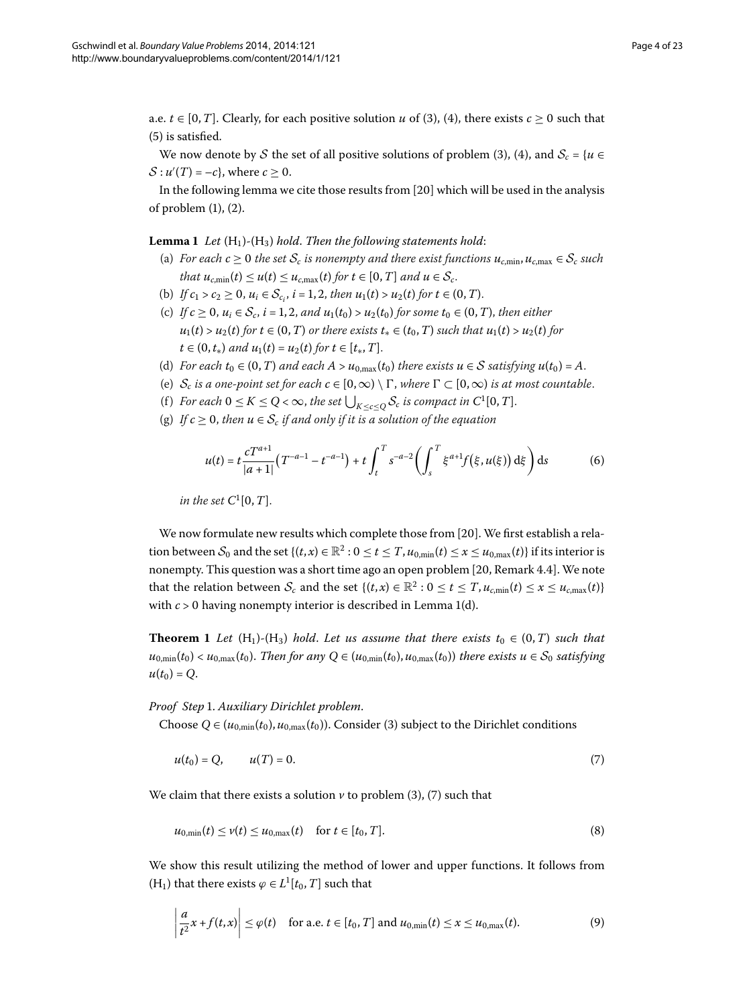<span id="page-3-1"></span>a.e.  $t \in [0, T]$ . Clearly, for each positive solution *u* of (3[\)](#page-2-1), [\(](#page-2-2)4), there exists  $c \ge 0$  such that  $(5)$  $(5)$  is satisfied.

We now denote by S the set of all positive solutions of problem [\(](#page-2-1)3), (4), and  $S_c = \{u \in$  $S: u'(T) = -c$ , where  $c \geq 0$ .

In the following lemma we cite those results from  $[20]$  which will be used in the analysis of problem  $(1)$  $(1)$ ,  $(2)$ .

**Lemma 1** Let  $(H_1)$ - $(H_3)$  hold. Then the following statements hold:

- (a) *For each*  $c \ge 0$  *the set*  $S_c$  *is nonempty and there exist functions*  $u_{c,min}$ ,  $u_{c,max} \in S_c$  *such that*  $u_{c,\min}(t) \leq u(t) \leq u_{c,\max}(t)$  *for*  $t \in [0,T]$  *and*  $u \in S_c$ .
- (b) *If*  $c_1 > c_2 \ge 0$ ,  $u_i \in S_{c_i}$ ,  $i = 1, 2$ , then  $u_1(t) > u_2(t)$  for  $t \in (0, T)$ .
- (c) *If*  $c \ge 0$ ,  $u_i \in S_c$ ,  $i = 1, 2$ , and  $u_1(t_0) > u_2(t_0)$  for some  $t_0 \in (0, T)$ , then either  $u_1(t) > u_2(t)$  for  $t \in (0, T)$  *or there exists*  $t_* \in (t_0, T)$  *such that*  $u_1(t) > u_2(t)$  for  $t \in (0, t_*)$  *and*  $u_1(t) = u_2(t)$  *for*  $t \in [t_*, T]$ .
- (d) *For each*  $t_0 \in (0, T)$  *and each*  $A > u_{0, \text{max}}(t_0)$  *there exists*  $u \in S$  *satisfying*  $u(t_0) = A$ .
- (e)  $S_c$  *is a one-point set for each*  $c \in [0, \infty) \setminus \Gamma$ , where  $\Gamma \subset [0, \infty)$  *is at most countable.*
- (f) *For each*  $0 \le K \le Q < \infty$ , *the set*  $\bigcup_{K \le c \le Q} S_c$  *is compact in*  $C^1[0, T]$ *.*
- (g) *If*  $c \geq 0$ , *then*  $u \in S_c$  *if and only if it is a solution of the equation*

<span id="page-3-5"></span>
$$
u(t) = t \frac{cT^{a+1}}{|a+1|} (T^{-a-1} - t^{-a-1}) + t \int_t^T s^{-a-2} \left( \int_s^T \xi^{a+1} f(\xi, u(\xi)) d\xi \right) ds \tag{6}
$$

*in the set*  $C^1[0,T]$ .

<span id="page-3-0"></span>We now formulate new results which complete those from [\[](#page-22-5)20]. We first establish a relation between  $S_0$  and the set  $\{(t, x) \in \mathbb{R}^2 : 0 \le t \le T, u_{0,\text{min}}(t) \le x \le u_{0,\text{max}}(t)\}\)$  if its interior is nonempty. This question was a short time ago an open problem [20[,](#page-22-5) Remark 4.4]. We note that the relation between  $S_c$  and the set  $\{(t, x) \in \mathbb{R}^2 : 0 \le t \le T, u_{c,\text{min}}(t) \le x \le u_{c,\text{max}}(t)\}$ with  $c > 0$  having nonempty interior is described in Lemma 1[\(](#page-3-1)d).

**Theorem 1** Let  $(H_1)$ - $(H_3)$  hold. Let us assume that there exists  $t_0 \in (0,T)$  such that  $u_{0,\min}(t_0) < u_{0,\max}(t_0)$ . Then for any  $Q \in (u_{0,\min}(t_0), u_{0,\max}(t_0))$  there exists  $u \in S_0$  satisfying  $u(t_0) = Q$ .

*Proof Step* . *Auxiliary Dirichlet problem*.

Choose  $Q \in (u_{0,\text{min}}(t_0), u_{0,\text{max}}(t_0))$ . Consider (3) subject to the Dirichlet conditions

<span id="page-3-4"></span><span id="page-3-2"></span>
$$
u(t_0) = Q, \qquad u(T) = 0. \tag{7}
$$

We claim that there exists a solution  $\nu$  to problem (3[\)](#page-2-1), [\(](#page-3-2)7) such that

<span id="page-3-3"></span>
$$
u_{0,\min}(t) \le v(t) \le u_{0,\max}(t) \quad \text{for } t \in [t_0, T].
$$
\n(8)

We show this result utilizing the method of lower and upper functions. It follows from (H<sub>1</sub>) that there exists  $\varphi \in L^1[t_0, T]$  such that

$$
\left|\frac{a}{t^2}x + f(t,x)\right| \leq \varphi(t) \quad \text{for a.e. } t \in [t_0, T] \text{ and } u_{0,\min}(t) \leq x \leq u_{0,\max}(t). \tag{9}
$$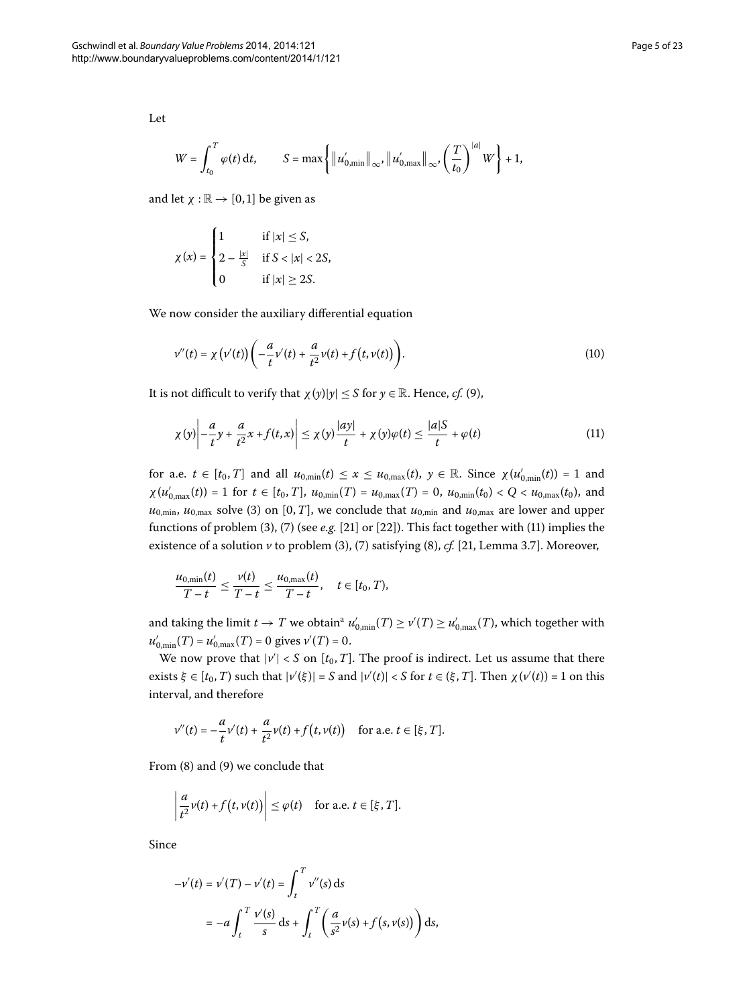Let

$$
W = \int_{t_0}^T \varphi(t) \, \mathrm{d}t, \qquad S = \max \left\{ \left\| u'_{0,\min} \right\|_{\infty}, \left\| u'_{0,\max} \right\|_{\infty}, \left( \frac{T}{t_0} \right)^{|a|} W \right\} + 1,
$$

and let  $\chi : \mathbb{R} \to [0, 1]$  be given as

$$
\chi(x) = \begin{cases} 1 & \text{if } |x| \le S, \\ 2 - \frac{|x|}{S} & \text{if } S < |x| < 2S, \\ 0 & \text{if } |x| \ge 2S. \end{cases}
$$

We now consider the auxiliary differential equation

<span id="page-4-0"></span>
$$
v''(t) = \chi(v'(t))\left(-\frac{a}{t}v'(t) + \frac{a}{t^2}v(t) + f(t,v(t))\right).
$$
\n(10)

It is not difficult to verify that  $\chi(y)|y| \leq S$  for  $y \in \mathbb{R}$ . Hence, *cf.* (9),

$$
\chi(y)\left| -\frac{a}{t}y + \frac{a}{t^2}x + f(t,x) \right| \leq \chi(y)\frac{|ay|}{t} + \chi(y)\varphi(t) \leq \frac{|a|S}{t} + \varphi(t)
$$
\n(11)

for a.e.  $t \in [t_0, T]$  and all  $u_{0,\min}(t) \le x \le u_{0,\max}(t)$ ,  $y \in \mathbb{R}$ . Since  $\chi(u'_{0,\min}(t)) = 1$  and  $\chi(u'_{0,\max}(t)) = 1$  for  $t \in [t_0, T]$ ,  $u_{0,\min}(T) = u_{0,\max}(T) = 0$ ,  $u_{0,\min}(t_0) < Q < u_{0,\max}(t_0)$ , and  $u_{0,\text{min}}$ ,  $u_{0,\text{max}}$  solve (3[\)](#page-2-1) on [0, *T*], we conclude that  $u_{0,\text{min}}$  and  $u_{0,\text{max}}$  are lower and upper functions of problem [\(](#page-3-2)3), (7) (see *e.g.* [\[](#page-22-6)21] or [22]). This fact together with (11) implies the existence of a solution  $\nu$  to problem [\(](#page-3-4)3), (7) satisfying (8), *cf.* [21, Lemma 3.7]. Moreover,

$$
\frac{u_{0,\min}(t)}{T-t}\leq \frac{v(t)}{T-t}\leq \frac{u_{0,\max}(t)}{T-t},\quad t\in[t_0,T),
$$

[a](#page-21-11)nd taking the limit  $t \to T$  we obtain<sup>a</sup>  $u'_{0,\min}(T) \geq v'(T) \geq u'_{0,\max}(T)$ , which together with  $u'_{0,\min}(T) = u'_{0,\max}(T) = 0$  gives  $v'(T) = 0$ .

We now prove that  $|v'| < S$  on  $[t_0, T]$ . The proof is indirect. Let us assume that there exists  $\xi \in [t_0, T)$  such that  $|v'(\xi)| = S$  and  $|v'(t)| < S$  for  $t \in (\xi, T]$ . Then  $\chi(v'(t)) = 1$  on this interval, and therefore

$$
v''(t) = -\frac{a}{t}v'(t) + \frac{a}{t^2}v(t) + f(t,v(t)) \quad \text{for a.e. } t \in [\xi, T].
$$

From  $(8)$  $(8)$  and  $(9)$  we conclude that

$$
\left|\frac{a}{t^2}\nu(t)+f\big(t,\nu(t)\big)\right|\leq \varphi(t)\quad\text{for a.e. }t\in[\xi,T].
$$

Since

$$
-v'(t) = v'(T) - v'(t) = \int_{t}^{T} v''(s) ds
$$
  
=  $-a \int_{t}^{T} \frac{v'(s)}{s} ds + \int_{t}^{T} \left(\frac{a}{s^2} v(s) + f(s, v(s))\right) ds,$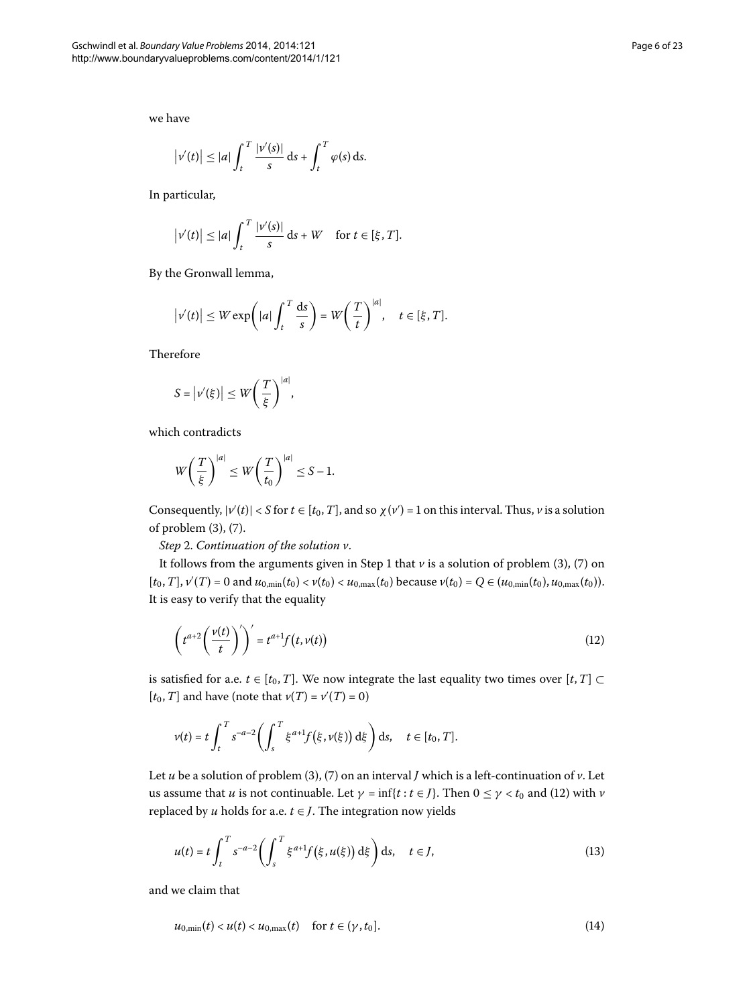we have

$$
\left|v'(t)\right| \leq |a| \int_t^T \frac{|v'(s)|}{s} \, \mathrm{d} s + \int_t^T \varphi(s) \, \mathrm{d} s.
$$

In particular,

$$
\left|v'(t)\right| \leq |a| \int_t^T \frac{|v'(s)|}{s} \, \mathrm{d} s + W \quad \text{for } t \in [\xi, T].
$$

By the Gronwall lemma,

$$
\left|v'(t)\right| \leq W \exp\left(|a| \int_t^T \frac{ds}{s}\right) = W\left(\frac{T}{t}\right)^{|a|}, \quad t \in [\xi, T].
$$

Therefore

$$
S = |\nu'(\xi)| \leq W \left(\frac{T}{\xi}\right)^{|a|},
$$

which contradicts

<span id="page-5-0"></span>
$$
W\left(\frac{T}{\xi}\right)^{|a|} \leq W\left(\frac{T}{t_0}\right)^{|a|} \leq S - 1.
$$

Consequently,  $|v'(t)| < S$  for  $t \in [t_0, T]$ , and so  $\chi(v') = 1$  on this interval. Thus,  $v$  is a solution of problem (3[\)](#page-3-2), (7).

*Step* . *Continuation of the solution v*.

It follows from the arguments given in Step 1 that  $\nu$  is a solution of problem (3[\)](#page-2-1), (7) on  $[t_0, T]$ ,  $\nu'(T) = 0$  and  $u_{0,\min}(t_0) < \nu(t_0) < u_{0,\max}(t_0)$  because  $\nu(t_0) = Q \in (u_{0,\min}(t_0), u_{0,\max}(t_0))$ . It is easy to verify that the equality

$$
\left(t^{a+2}\left(\frac{v(t)}{t}\right)'\right)' = t^{a+1}f\left(t,v(t)\right) \tag{12}
$$

is satisfied for a.e.  $t \in [t_0, T]$ . We now integrate the last equality two times over  $[t, T] \subset$  $[t_0, T]$  and have (note that  $\nu(T) = \nu'(T) = 0$ )

<span id="page-5-2"></span>
$$
v(t) = t \int_t^T s^{-a-2} \bigg( \int_s^T \xi^{a+1} f(\xi, v(\xi)) d\xi \bigg) ds, \quad t \in [t_0, T].
$$

Let  $u$  be a solution of problem [\(](#page-2-1)3), (7) on an interval  $J$  which is a left-continuation of  $v$ . Let us assume that *u* is not continuable. Let  $\gamma = \inf\{t : t \in J\}$ . Then  $0 \leq \gamma < t_0$  and [\(](#page-5-0)12) with *v* replaced by  $u$  holds for a.e.  $t \in J$ . The integration now yields

<span id="page-5-1"></span>
$$
u(t) = t \int_t^T s^{-a-2} \left( \int_s^T \xi^{a+1} f(\xi, u(\xi)) d\xi \right) ds, \quad t \in J,
$$
\n(13)

and we claim that

$$
u_{0,\min}(t) < u(t) < u_{0,\max}(t) \quad \text{for } t \in (\gamma, t_0]. \tag{14}
$$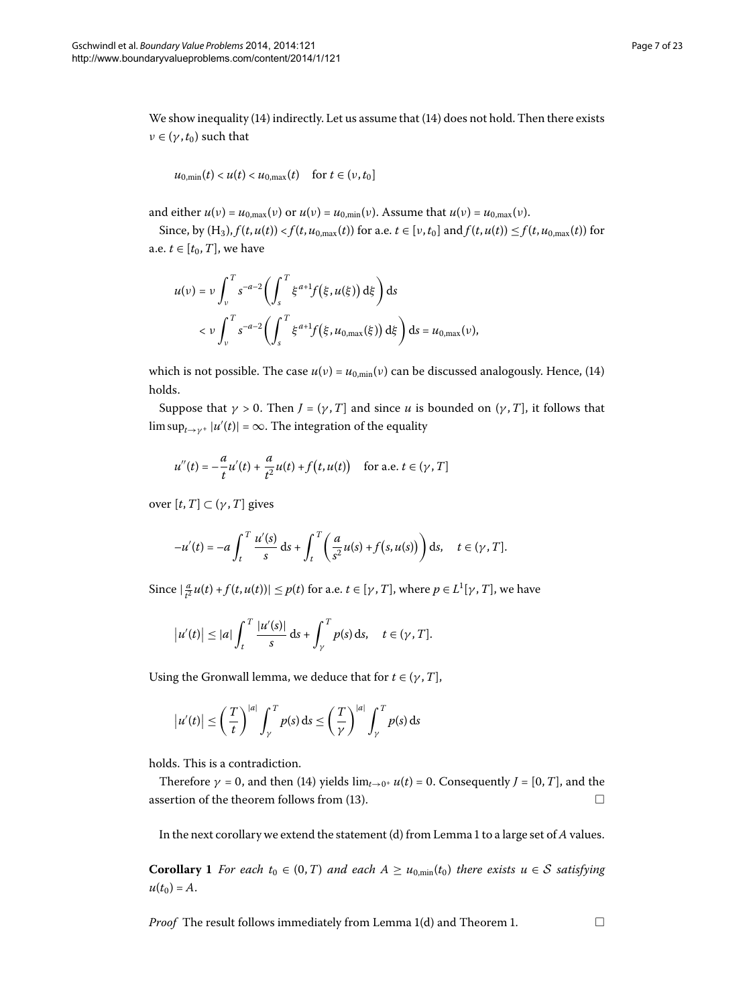We show inequality  $(14)$  $(14)$  indirectly. Let us assume that  $(14)$  does not hold. Then there exists  $\nu \in (\gamma, t_0)$  such that

$$
u_{0,\min}(t) < u(t) < u_{0,\max}(t) \quad \text{for } t \in (\nu, t_0]
$$

and either  $u(v) = u_{0,\text{max}}(v)$  or  $u(v) = u_{0,\text{min}}(v)$ . Assume that  $u(v) = u_{0,\text{max}}(v)$ .

Since, by  $(H_3)$ ,  $f(t, u(t)) < f(t, u_{0, max}(t))$  for a.e.  $t \in [v, t_0]$  and  $f(t, u(t)) \leq f(t, u_{0, max}(t))$  for a.e.  $t \in [t_0, T]$ , we have

$$
u(\nu) = \nu \int_{\nu}^{T} s^{-a-2} \left( \int_{s}^{T} \xi^{a+1} f(\xi, u(\xi)) d\xi \right) ds
$$
  

$$
< \nu \int_{\nu}^{T} s^{-a-2} \left( \int_{s}^{T} \xi^{a+1} f(\xi, u_{0,\max}(\xi)) d\xi \right) ds = u_{0,\max}(\nu),
$$

which is not possible. The case  $u(v) = u_{0,\text{min}}(v)$  can be discussed analogously. Hence, (14) holds.

Suppose that  $\gamma > 0$ . Then  $J = (\gamma, T]$  and since *u* is bounded on  $(\gamma, T]$ , it follows that  $\limsup_{t\to\gamma^+} |u'(t)| = \infty$ . The integration of the equality

$$
u''(t) = -\frac{a}{t}u'(t) + \frac{a}{t^2}u(t) + f(t, u(t)) \text{ for a.e. } t \in (\gamma, T]
$$

over  $[t, T] \subset (\gamma, T]$  gives

$$
-u'(t) = -a \int_t^T \frac{u'(s)}{s} ds + \int_t^T \left(\frac{a}{s^2} u(s) + f(s, u(s))\right) ds, \quad t \in (\gamma, T].
$$

Since  $|\frac{a}{t^2}u(t) + f(t, u(t))| \le p(t)$  for a.e.  $t \in [\gamma, T]$ , where  $p \in L^1[\gamma, T]$ , we have

$$
\left|u'(t)\right| \leq |a| \int_t^T \frac{|u'(s)|}{s} \, \mathrm{d} s + \int_\gamma^T p(s) \, \mathrm{d} s, \quad t \in (\gamma, T].
$$

Using the Gronwall lemma, we deduce that for  $t \in (\gamma, T]$ ,

$$
\left|u'(t)\right| \leq \left(\frac{T}{t}\right)^{|a|} \int_{\gamma}^{T} p(s) \, ds \leq \left(\frac{T}{\gamma}\right)^{|a|} \int_{\gamma}^{T} p(s) \, ds
$$

<span id="page-6-0"></span>holds. This is a contradiction.

Therefore  $\gamma = 0$ , and then [\(](#page-5-1)14) yields  $\lim_{t\to 0^+} u(t) = 0$ . Consequently  $J = [0, T]$ , and the assertion of the theorem follows from [\(](#page-5-2)13).  $\Box$ 

In the next corollary we extend the statement (d) from Lemma to a large set of *A* values.

**Corollary 1** For each  $t_0 \in (0,T)$  and each  $A \ge u_{0,\min}(t_0)$  there exists  $u \in S$  satisfying  $u(t_0) = A$ .

*Proof* The result follows immediately from Lemma 1(d) and Theorem 1[.](#page-3-0)  $\Box$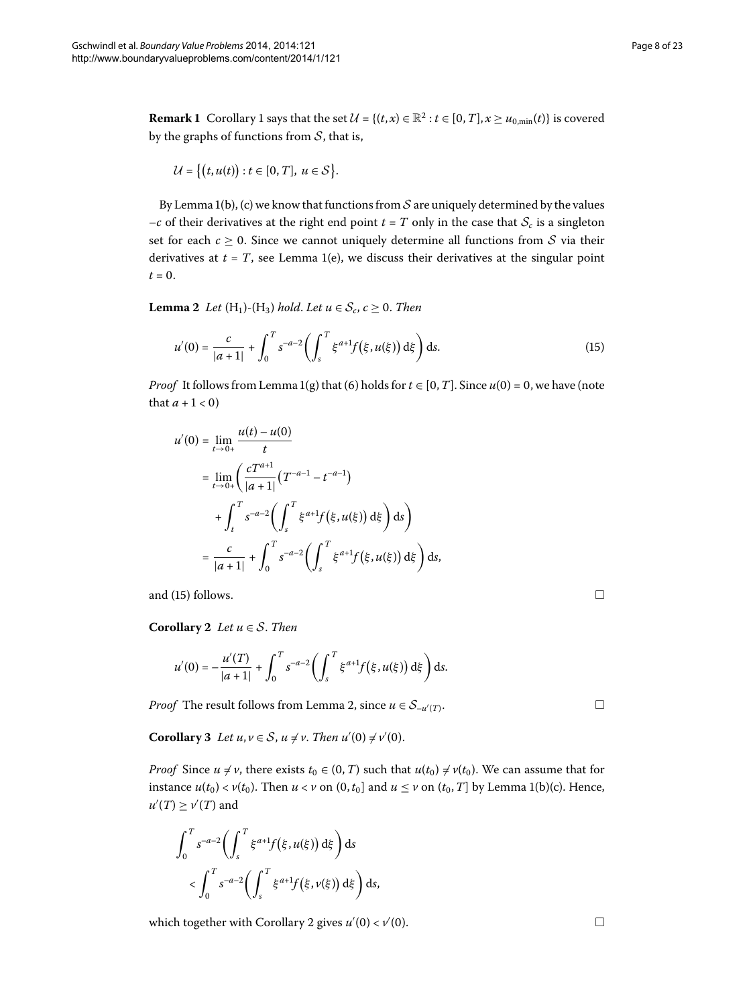**Remark 1** Corollary 1 says that the set  $\mathcal{U} = \{(t, x) \in \mathbb{R}^2 : t \in [0, T], x \ge u_{0, \text{min}}(t)\}\)$  is covered by the graphs of functions from  $S$ , that is,

<span id="page-7-0"></span>
$$
\mathcal{U} = \big\{ \big(t, u(t)\big) : t \in [0, T], \ u \in \mathcal{S} \big\}.
$$

<span id="page-7-1"></span>By Lemma 1(b), (c) we know that functions from  $S$  are uniquely determined by the values  $-c$  of their derivatives at the right end point  $t = T$  only in the case that  $S_c$  is a singleton set for each  $c \ge 0$ . Since we cannot uniquely determine all functions from S via their derivatives at  $t = T$ , see Lemma 1(e), we discuss their derivatives at the singular point  $t = 0$ .

**Lemma 2** Let  $(H_1)$ - $(H_3)$  hold. Let  $u \in S_c$ ,  $c \ge 0$ . Then

$$
u'(0) = \frac{c}{|a+1|} + \int_0^T s^{-a-2} \left( \int_s^T \xi^{a+1} f(\xi, u(\xi)) d\xi \right) ds.
$$
 (15)

*Proof* It follows from Lemma 1[\(](#page-3-1)g) that (6) holds for  $t \in [0, T]$ . Since  $u(0) = 0$ , we have (note that  $a + 1 < 0$ )

$$
u'(0) = \lim_{t \to 0+} \frac{u(t) - u(0)}{t}
$$
  
= 
$$
\lim_{t \to 0+} \left( \frac{cT^{a+1}}{|a+1|} (T^{-a-1} - t^{-a-1}) + \int_t^T s^{-a-2} \left( \int_s^T \xi^{a+1} f(\xi, u(\xi)) d\xi \right) ds \right)
$$
  
= 
$$
\frac{c}{|a+1|} + \int_0^T s^{-a-2} \left( \int_s^T \xi^{a+1} f(\xi, u(\xi)) d\xi \right) ds,
$$

<span id="page-7-2"></span>and  $(15)$  $(15)$  follows.

<span id="page-7-3"></span>**Corollary** 2 *Let*  $u \in S$ *. Then* 

$$
u'(0) = -\frac{u'(T)}{|a+1|} + \int_0^T s^{-a-2} \bigg( \int_s^T \xi^{a+1} f(\xi, u(\xi)) d\xi \bigg) ds.
$$

*Proof* The result follows from Lemma 2[,](#page-7-1) since  $u \in S_{-u'(T)}$ .  $(T)$ .

**Corollary** 3 Let  $u, v \in S$ ,  $u \neq v$ . Then  $u'(0) \neq v'(0)$ .

*Proof* Since  $u \neq v$ , there exists  $t_0 \in (0, T)$  such that  $u(t_0) \neq v(t_0)$ . We can assume that for instance  $u(t_0) < v(t_0)$ . Then  $u < v$  on  $(0, t_0]$  and  $u \le v$  on  $(t_0, T]$  by Lemma 1(b)(c). Hence,  $u'(T) \ge v'(T)$  and

$$
\int_0^T s^{-a-2} \biggl( \int_s^T \xi^{a+1} f(\xi, u(\xi)) d\xi \biggr) ds
$$
  
< 
$$
< \int_0^T s^{-a-2} \biggl( \int_s^T \xi^{a+1} f(\xi, v(\xi)) d\xi \biggr) ds,
$$

which together with Corollary 2 gives  $u'(0) < v'$  $(0).$ 

 $\Box$ 

 $\Box$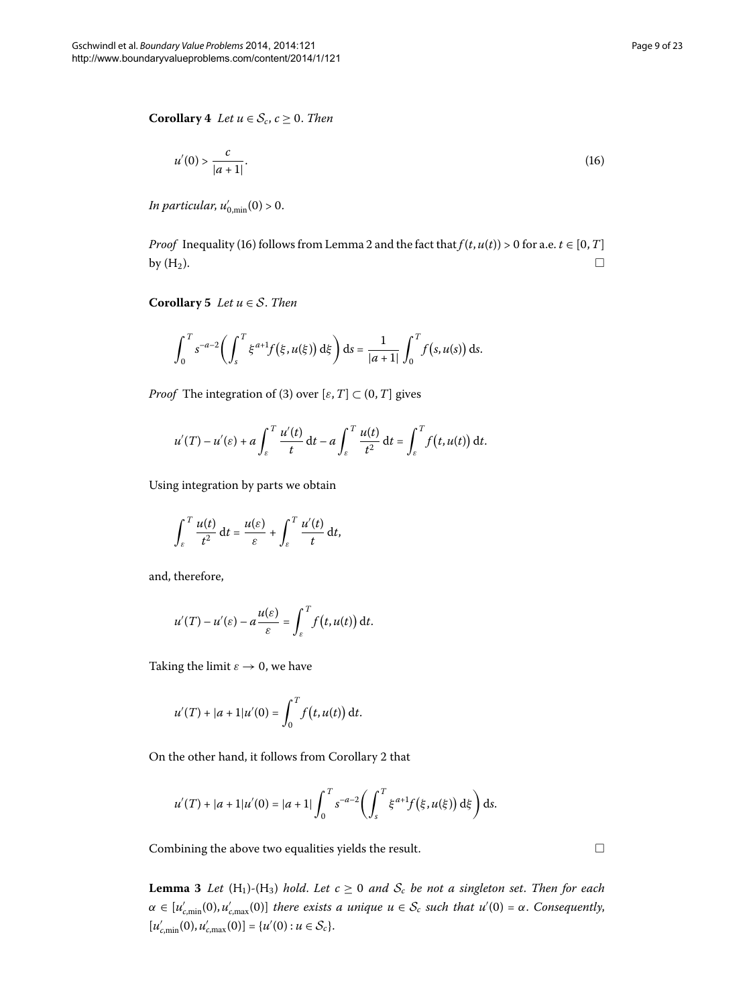<span id="page-8-1"></span>**Corollary**  $4$  *Let*  $u \in S_c$ ,  $c \ge 0$ *. Then* 

<span id="page-8-0"></span>
$$
u'(0) > \frac{c}{|a+1|}.\tag{16}
$$

*In particular, u'*<sub>0,min</sub>(0) > 0.

*Proof* Inequality (16) follows from Lemma 2 and the fact that  $f(t, u(t)) > 0$  for a.e.  $t \in [0, T]$ by  $(H_2)$ .  $\Box$ 

**Corollary 5** *Let*  $u \in S$ *. Then* 

$$
\int_0^T s^{-a-2} \bigg( \int_s^T \xi^{a+1} f(\xi, u(\xi)) \,d\xi \bigg) \,ds = \frac{1}{|a+1|} \int_0^T f(s, u(s)) \,ds.
$$

*Proof* The integration of [\(](#page-2-1)3) over [ $\varepsilon$ , *T*]  $\subset$  (0, *T*] gives

$$
u'(T) - u'(\varepsilon) + a \int_{\varepsilon}^T \frac{u'(t)}{t} dt - a \int_{\varepsilon}^T \frac{u(t)}{t^2} dt = \int_{\varepsilon}^T f(t, u(t)) dt.
$$

Using integration by parts we obtain

$$
\int_{\varepsilon}^T \frac{u(t)}{t^2} dt = \frac{u(\varepsilon)}{\varepsilon} + \int_{\varepsilon}^T \frac{u'(t)}{t} dt,
$$

and, therefore,

$$
u'(T) - u'(\varepsilon) - a \frac{u(\varepsilon)}{\varepsilon} = \int_{\varepsilon}^{T} f(t, u(t)) dt.
$$

Taking the limit  $\varepsilon \to 0$ , we have

$$
u'(T) + |a+1|u'(0) = \int_0^T f(t, u(t)) dt.
$$

<span id="page-8-2"></span>On the other hand, it follows from Corollary 2 that

$$
u'(T) + |a+1|u'(0) = |a+1| \int_0^T s^{-a-2} \left( \int_s^T \xi^{a+1} f(\xi, u(\xi)) d\xi \right) ds.
$$

Combining the above two equalities yields the result.

**Lemma 3** Let  $(H_1)$ - $(H_3)$  hold. Let  $c \ge 0$  and  $S_c$  be not a singleton set. Then for each *α* ∈ [ $u'_{c,\text{min}}(0)$ ,  $u'_{c,\text{max}}(0)$ ] *there exists a unique u* ∈ *S<sub>c</sub> such that u'*(0) = *α*. *Consequently*,  $[u'_{c,\min}(0), u'_{c,\max}(0)] = \{u'(0) : u \in S_c\}.$ 

 $\Box$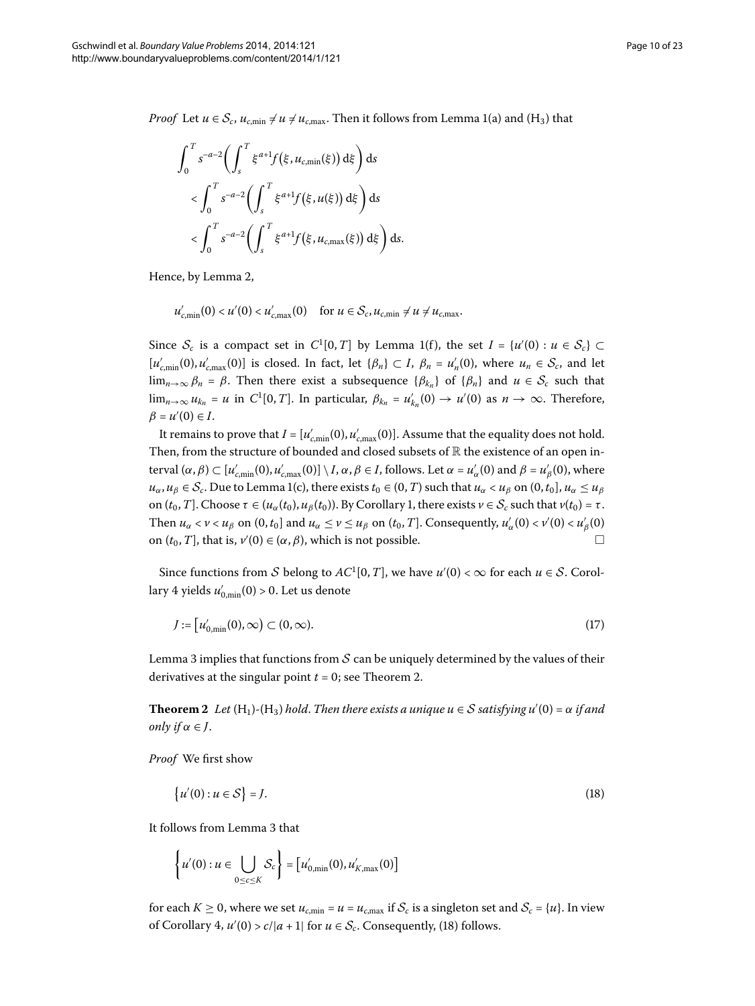*Proof* Let  $u \in S_c$ ,  $u_{c,min} \neq u \neq u_{c,max}$ . Then it follows from Lemma 1(a) and (H<sub>3</sub>) that

$$
\int_0^T s^{-a-2} \left( \int_s^T \xi^{a+1} f(\xi, u_{c,\min}(\xi)) d\xi \right) ds
$$
  

$$
< \int_0^T s^{-a-2} \left( \int_s^T \xi^{a+1} f(\xi, u(\xi)) d\xi \right) ds
$$
  

$$
< \int_0^T s^{-a-2} \left( \int_s^T \xi^{a+1} f(\xi, u_{c,\max}(\xi)) d\xi \right) ds.
$$

Hence, by Lemma 2,

 $u'_{c,\min}(0) < u'(0) < u'_{c,\max}(0) \text{ for } u \in S_c, u_{c,\min} \neq u \neq u_{c,\max}.$ 

Since  $S_c$  is a compact set in  $C^1[0,T]$  by Lemma 1(f), the set  $I = \{u'(0) : u \in S_c\} \subset$  $[u'_{c,\min}(0), u'_{c,\max}(0)]$  is closed. In fact, let  $\{\beta_n\} \subset I$ ,  $\beta_n = u'_n(0)$ , where  $u_n \in S_c$ , and let lim<sub>*n*→∞</sub>  $\beta_n = \beta$ . Then there exist a subsequence  $\{\beta_{k_n}\}\$  of  $\{\beta_n\}\$  and  $u \in \mathcal{S}_c$  such that  $\lim_{n\to\infty} u_{k_n} = u$  in  $C^1[0,T]$ . In particular,  $\beta_{k_n} = u'_{k_n}(0) \to u'(0)$  as  $n \to \infty$ . Therefore,  $\beta = u'(0) \in I$ .

It remains to prove that  $I = [u'_{c,\text{min}}(0), u'_{c,\text{max}}(0)].$  Assume that the equality does not hold. Then, from the structure of bounded and closed subsets of  $\mathbb R$  the existence of an open in- $\text{teval } (\alpha, \beta) \subset [u'_{c,\text{min}}(0), u'_{c,\text{max}}(0)] \setminus I, \alpha, \beta \in I, \text{follows.}$  Let  $\alpha = u'_{\alpha}(0)$  and  $\beta = u'_{\beta}(0),$  where  $u_{\alpha}, u_{\beta} \in S_c$ . Due to Lemma 1(c), there exists  $t_0 \in (0, T)$  such that  $u_{\alpha} < u_{\beta}$  on  $(0, t_0]$ ,  $u_{\alpha} \le u_{\beta}$ on  $(t_0, T]$  $(t_0, T]$  $(t_0, T]$ . Choose *τ* ∈  $(u_α(t_0), u_β(t_0))$ . By Corollary 1, there exists  $ν ∈ S_c$  such that  $ν(t_0) = τ$ . Then  $u_\alpha < v < u_\beta$  on  $(0, t_0]$  and  $u_\alpha \le v \le u_\beta$  on  $(t_0, T]$ . Consequently,  $u'_\alpha(0) < v'(0) < u'_\beta(0)$ on  $(t_0, T]$ , that is,  $v'(0) \in (\alpha, \beta)$ , which is not possible.

<span id="page-9-0"></span>Since functions from S belong to  $AC^1[0,T]$ , we have  $u'(0) < \infty$  for each  $u \in S$ . Corollary 4 yields  $u'_{0,\rm min}(0)$  > 0. Let us denote

<span id="page-9-1"></span>
$$
J := \left[ u'_{0,\min}(0), \infty \right) \subset (0, \infty). \tag{17}
$$

Lemma 3 implies that functions from  $S$  can be uniquely determined by the values of their derivatives at the singular point  $t = 0$ ; see Theorem 2[.](#page-9-0)

**Theorem 2** Let  $(H_1)$ - $(H_3)$  hold. Then there exists a unique  $u \in S$  satisfying  $u'(0) = \alpha$  if and *only if*  $\alpha \in J$ .

*Proof* We first show

$$
\{u'(0): u \in \mathcal{S}\} = J. \tag{18}
$$

It follows from Lemma 3 that

$$
\left\{u'(0): u \in \bigcup_{0 \leq c \leq K} \mathcal{S}_c\right\} = \left[u'_{0,\min}(0), u'_{K,\max}(0)\right]
$$

for each  $K \ge 0$ , where we set  $u_{c,\text{min}} = u = u_{c,\text{max}}$  if  $S_c$  is a singleton set and  $S_c = \{u\}$ . In view of Corollary 4,  $u'(0) > c/|a+1|$  $u'(0) > c/|a+1|$  $u'(0) > c/|a+1|$  for  $u \in \mathcal{S}_c$ . Consequently, (18) follows.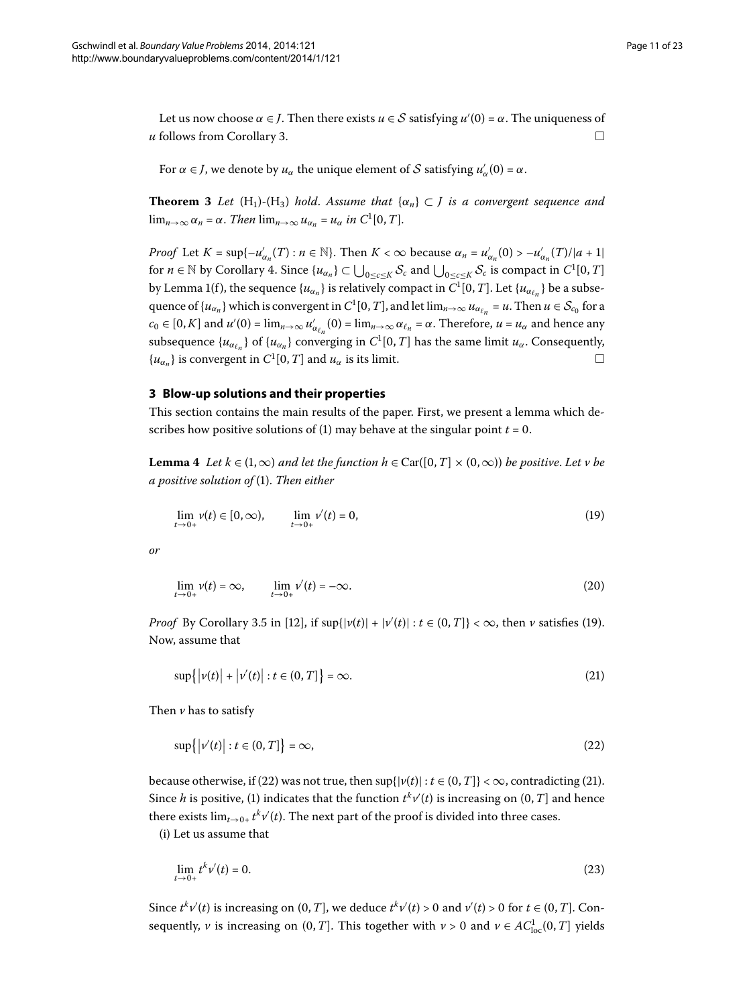<span id="page-10-1"></span>Let us now choose  $\alpha \in J$ . Then there exists  $u \in S$  satisfying  $u'(0) = \alpha$ . The uniqueness of  $\mu$  follows from Corollary 3.

For  $\alpha \in J$ , we denote by  $u_{\alpha}$  the unique element of  $S$  satisfying  $u'_{\alpha}(0) = \alpha$ .

**Theorem 3** Let  $(H_1)$ - $(H_3)$  hold. Assume that  $\{\alpha_n\} \subset J$  is a convergent sequence and  $\lim_{n\to\infty} \alpha_n = \alpha$ . *Then*  $\lim_{n\to\infty} u_{\alpha_n} = u_\alpha$  *in*  $C^1[0, T]$ .

<span id="page-10-2"></span>*Proof* Let  $K = \sup\{-u'_{\alpha_n}(T) : n \in \mathbb{N}\}$ . Then  $K < \infty$  because  $\alpha_n = u'_{\alpha_n}(0) > -u'_{\alpha_n}(T)/|a+1|$ for  $n \in \mathbb{N}$  by Corollary 4[.](#page-8-1) Since  $\{u_{\alpha_n}\} \subset \bigcup_{0 \le c \le K} S_c$  and  $\bigcup_{0 \le c \le K} S_c$  is compact in  $C^1[0, T]$ by Lemma 1(f), the sequence  $\{u_{\alpha_n}\}$  is relatively compact in  $C^1[0,T]$ . Let  $\{u_{\alpha_{\ell_n}}\}$  be a subsequence of  $\{u_{\alpha_n}\}$  which is convergent in  $C^1[0,T]$ , and let  $\lim_{n\to\infty}u_{\alpha_{\ell_n}}=u$ . Then  $u\in\mathcal{S}_{c_0}$  for a  $c_0 \in [0, K]$  and  $u'(0) = \lim_{n \to \infty} u'_{\alpha_{\ell_n}}(0) = \lim_{n \to \infty} \alpha_{\ell_n} = \alpha$ . Therefore,  $u = u_\alpha$  and hence any subsequence  $\{u_{\alpha_{\ell_n}}\}$  of  $\{u_{\alpha_n}\}$  converging in  $C^1[0,T]$  has the same limit  $u_\alpha$ . Consequently,  $\{u_{\alpha} \}$  is convergent in  $C^1[0, T]$  and  $u_{\alpha}$  is its limit.  $\Box$ 

#### <span id="page-10-0"></span>**3 Blow-up solutions and their properties**

This section contains the main results of the paper. First, we present a lemma which de-scribes how positive solutions of (1[\)](#page-0-1) may behave at the singular point  $t = 0$ .

**Lemma 4** Let  $k \in (1, \infty)$  *and let the function h*  $\in$  Car([0, *T*]  $\times$  (0,  $\infty$ )) *be positive. Let v be a positive solution of* [\(\)](#page-0-1). *Then either*

<span id="page-10-7"></span><span id="page-10-3"></span>
$$
\lim_{t \to 0+} v(t) \in [0, \infty), \qquad \lim_{t \to 0+} v'(t) = 0,\tag{19}
$$

*or*

<span id="page-10-5"></span>
$$
\lim_{t \to 0+} \nu(t) = \infty, \qquad \lim_{t \to 0+} \nu'(t) = -\infty.
$$
 (20)

*Proof* By Corollary 3.5 in [12[\]](#page-22-8), if  $\sup\{|v(t)| + |v'(t)| : t \in (0, T]\} < \infty$  $\sup\{|v(t)| + |v'(t)| : t \in (0, T]\} < \infty$  $\sup\{|v(t)| + |v'(t)| : t \in (0, T]\} < \infty$ , then *v* satisfies (19). Now, assume that

<span id="page-10-4"></span>
$$
\sup\{|v(t)| + |v'(t)| : t \in (0, T]\} = \infty.
$$
\n(21)

Then *v* has to satisfy

<span id="page-10-6"></span>
$$
\sup\{|v'(t)| : t \in (0, T]\} = \infty,\tag{22}
$$

because otherwise, if (22[\)](#page-10-5) was not true, then  $\sup\{|v(t)| : t \in (0, T]\} < \infty$ , contradicting (21). Since *h* is positive, [\(](#page-0-1)1) indicates that the function  $t^k v'(t)$  is increasing on  $(0, T]$  and hence there exists  $\lim_{t\to 0+} t^k v'(t)$ . The next part of the proof is divided into three cases.

(i) Let us assume that

$$
\lim_{t \to 0+} t^k v'(t) = 0. \tag{23}
$$

Since  $t^k v'(t)$  is increasing on  $(0, T]$ , we deduce  $t^k v'(t) > 0$  and  $v'(t) > 0$  for  $t \in (0, T]$ . Consequently,  $\nu$  is increasing on  $(0, T]$ . This together with  $\nu > 0$  and  $\nu \in AC^1_{loc}(0, T]$  yields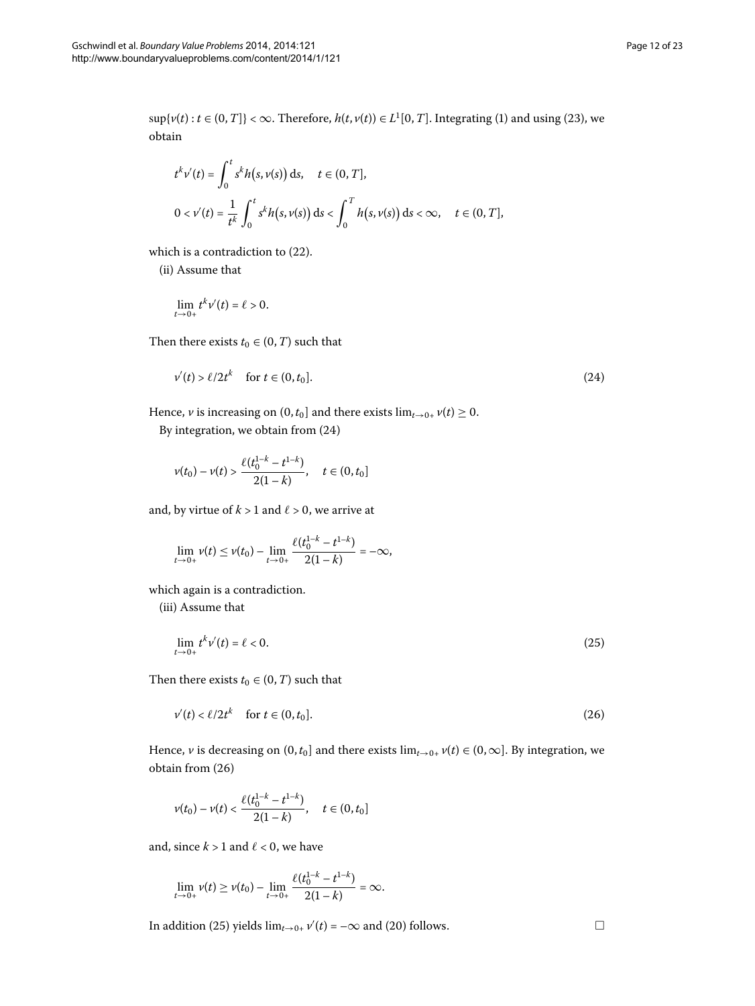$\sup\{\nu(t): t \in (0, T]\} < \infty$  $\sup\{\nu(t): t \in (0, T]\} < \infty$  $\sup\{\nu(t): t \in (0, T]\} < \infty$  $\sup\{\nu(t): t \in (0, T]\} < \infty$  $\sup\{\nu(t): t \in (0, T]\} < \infty$ . Therefore,  $h(t, \nu(t)) \in L^1[0, T]$ . Integrating (1) and using (23), we obtain

$$
t^{k}v'(t) = \int_{0}^{t} s^{k}h(s, v(s)) ds, \quad t \in (0, T],
$$
  
 
$$
0 < v'(t) = \frac{1}{t^{k}} \int_{0}^{t} s^{k}h(s, v(s)) ds < \int_{0}^{T} h(s, v(s)) ds < \infty, \quad t \in (0, T],
$$

which is a contradiction to  $(22)$  $(22)$ .

(ii) Assume that

<span id="page-11-0"></span>
$$
\lim_{t\to 0+}t^k v'(t)=\ell>0.
$$

Then there exists  $t_0 \in (0, T)$  such that

$$
v'(t) > \ell/2t^k \quad \text{for } t \in (0, t_0].
$$
\n
$$
(24)
$$

Hence, *v* is increasing on  $(0, t_0]$  and there exists  $\lim_{t\to 0+} v(t) \ge 0$ .

By integration, we obtain from  $(24)$ 

$$
v(t_0)-v(t)>\frac{\ell(t_0^{1-k}-t^{1-k})}{2(1-k)},\quad t\in(0,t_0]
$$

and, by virtue of  $k > 1$  and  $\ell > 0$ , we arrive at

<span id="page-11-2"></span>
$$
\lim_{t\to 0+}v(t)\leq v(t_0)-\lim_{t\to 0+}\frac{\ell(t_0^{1-k}-t^{1-k})}{2(1-k)}=-\infty,
$$

which again is a contradiction.

(iii) Assume that

<span id="page-11-1"></span>
$$
\lim_{t \to 0+} t^k \nu'(t) = \ell < 0. \tag{25}
$$

Then there exists  $t_0 \in (0, T)$  such that

$$
v'(t) < \ell/2t^k \quad \text{for } t \in (0, t_0].
$$
\n
$$
(26)
$$

Hence, *v* is decreasing on  $(0, t_0]$  and there exists  $\lim_{t\to 0+} v(t) \in (0, \infty]$ . By integration, we obtain from  $(26)$ 

$$
v(t_0)-v(t)<\frac{\ell(t_0^{1-k}-t^{1-k})}{2(1-k)},\quad t\in(0,t_0]
$$

and, since  $k > 1$  and  $\ell < 0$ , we have

$$
\lim_{t\to 0+}v(t)\geq v(t_0)-\lim_{t\to 0+}\frac{\ell(t_0^{1-k}-t^{1-k})}{2(1-k)}=\infty.
$$

In addition [\(](#page-11-2)25) yields  $\lim_{t\to 0+} v'(t) = -\infty$  and (20) follows.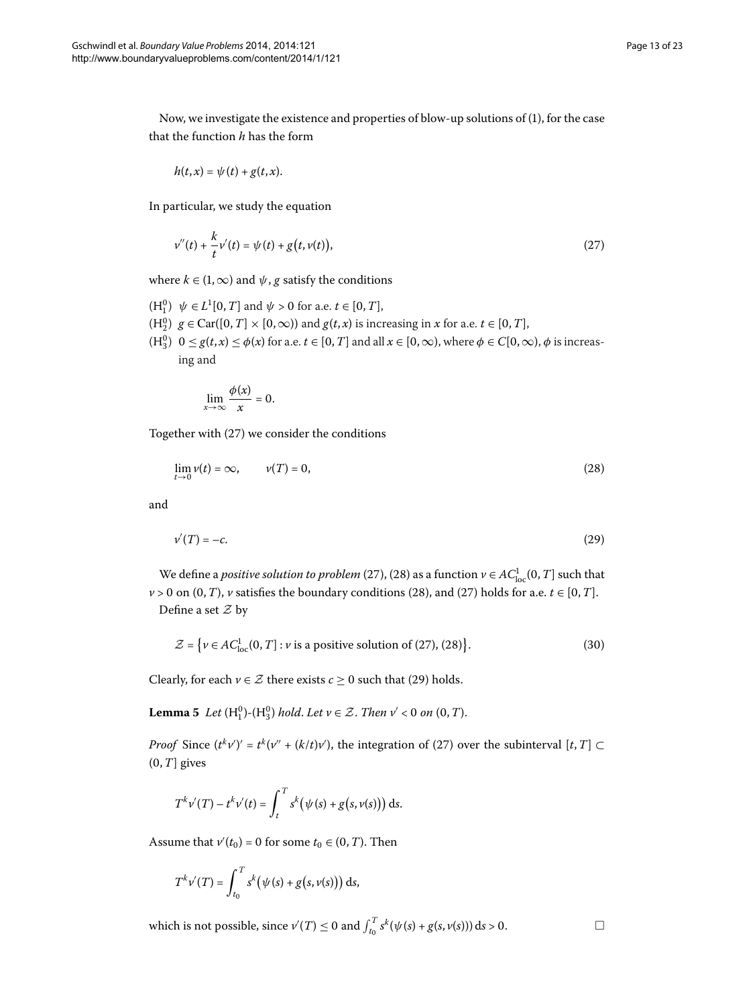Now, we investigate the existence and properties of blow-up solutions of (), for the case that the function *h* has the form

<span id="page-12-0"></span>
$$
h(t,x)=\psi(t)+g(t,x).
$$

In particular, we study the equation

$$
v''(t) + \frac{k}{t}v'(t) = \psi(t) + g(t, v(t)),
$$
\n(27)

where  $k \in (1, \infty)$  and  $\psi$ , *g* satisfy the conditions

- $(H_1^0)$   $\psi \in L^1[0, T]$  and  $\psi > 0$  for a.e.  $t \in [0, T]$ ,
- $(H_2^0)$   $g \in \text{Car}([0, T] \times [0, \infty))$  and  $g(t, x)$  is increasing in *x* for a.e.  $t \in [0, T]$ ,
- $(H_3^0)$   $0 \le g(t,x) \le \phi(x)$  for a.e.  $t \in [0, T]$  and all  $x \in [0, \infty)$ , where  $\phi \in C[0, \infty)$ ,  $\phi$  is increasing and

<span id="page-12-2"></span><span id="page-12-1"></span>
$$
\lim_{x\to\infty}\frac{\phi(x)}{x}=0.
$$

Together with  $(27)$  $(27)$  we consider the conditions

$$
\lim_{t \to 0} \nu(t) = \infty, \qquad \nu(T) = 0,
$$
\n(28)

and

$$
v'(T) = -c.\tag{29}
$$

We define a *positive solution to problem* (27[\)](#page-12-0), (28) as a function  $\nu \in AC^1_{\text{loc}}(0,T]$  such that  $v > 0$  on  $(0, T)$  $(0, T)$ , *v* satisfies the boundary conditions (28), and (27) holds for a.e.  $t \in [0, T]$ . Define a set  $\mathcal Z$  by

$$
\mathcal{Z} = \left\{ \nu \in AC_{\text{loc}}^1(0, T] : \nu \text{ is a positive solution of (27), (28)} \right\}. \tag{30}
$$

Clearly, for each  $v \in \mathcal{Z}$  there exists  $c \geq 0$  such that [\(](#page-12-2)29) holds.

**Lemma 5** Let  $(H_1^0)$ - $(H_3^0)$  hold. Let  $v \in \mathcal{Z}$ . Then  $v' < 0$  on  $(0, T)$ .

*Proof* Since  $(t^k v')' = t^k (v'' + (k/t)v')$  $(t^k v')' = t^k (v'' + (k/t)v')$  $(t^k v')' = t^k (v'' + (k/t)v')$ , the integration of (27) over the subinterval  $[t, T] \subset$  $(0, T]$  gives

$$
T^{k}v'(T) - t^{k}v'(t) = \int_{t}^{T} s^{k}(\psi(s) + g(s,v(s))) ds.
$$

Assume that  $v'(t_0) = 0$  for some  $t_0 \in (0, T)$ . Then

$$
T^k \nu'(T) = \int_{t_0}^T s^k (\psi(s) + g(s, \nu(s))) ds,
$$

which is not possible, since  $v'(T) \le 0$  and  $\int_{t_0}^T s^k(\psi(s) + g(s, v(s))) ds > 0$ .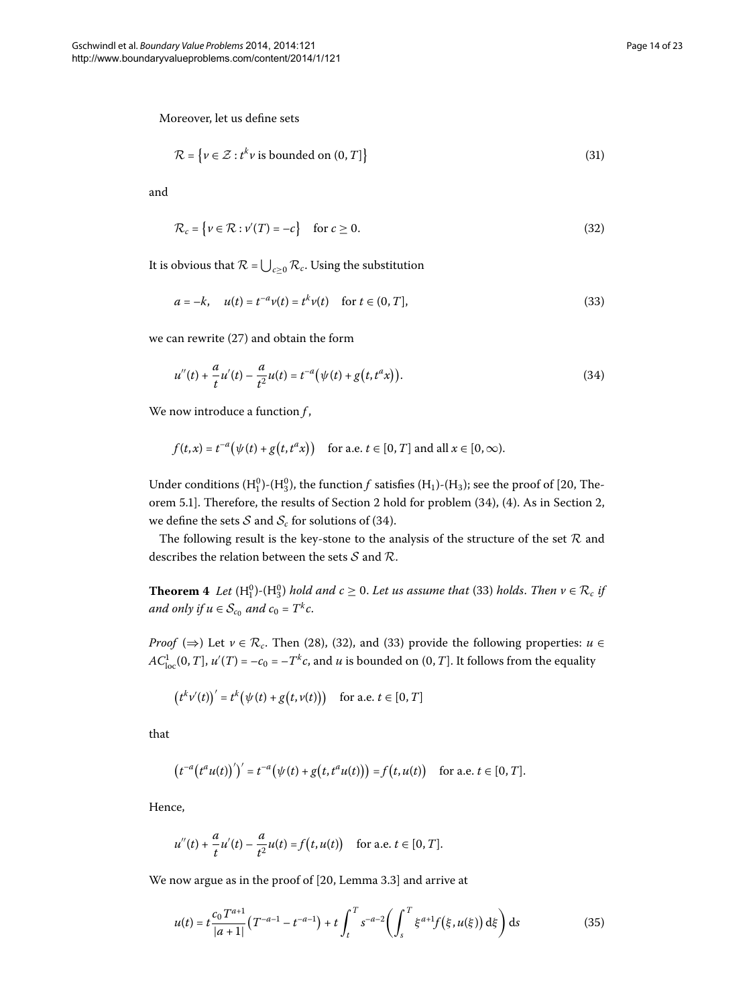Moreover, let us define sets

<span id="page-13-3"></span>
$$
\mathcal{R} = \{ v \in \mathcal{Z} : t^k v \text{ is bounded on } (0, T] \}
$$
\n(31)

and

<span id="page-13-2"></span><span id="page-13-1"></span>
$$
\mathcal{R}_c = \{ v \in \mathcal{R} : v'(T) = -c \} \quad \text{for } c \ge 0.
$$
\n(32)

It is obvious that  $\mathcal{R}$  =  $\bigcup_{c \geq 0} \mathcal{R}_c$ . Using the substitution

$$
a = -k, \quad u(t) = t^{-a}v(t) = t^k v(t) \quad \text{for } t \in (0, T],
$$
\n(33)

we can rewrite  $(27)$  $(27)$  and obtain the form

$$
u''(t) + \frac{a}{t}u'(t) - \frac{a}{t^2}u(t) = t^{-a}(\psi(t) + g(t, t^a x)).
$$
\n(34)

We now introduce a function *f* ,

$$
f(t,x) = t^{-a} \big( \psi(t) + g\big(t, t^a x\big) \big) \quad \text{for a.e. } t \in [0, T] \text{ and all } x \in [0, \infty).
$$

<span id="page-13-0"></span>Under conditions  $(H_1^0)$ - $(H_3^0)$ , the function *f* satisfies  $(H_1)$ - $(H_3)$ ; see the proof of [20, The-orem 5.1]. Therefore[,](#page-2-0) the results of Section 2 hold for problem (34), (4). As in Section 2, we define the sets  $S$  and  $S_c$  for solutions of (34).

The following result is the key-stone to the analysis of the structure of the set  $R$  and describes the relation between the sets  $S$  and  $R$ .

**Theorem 4** Let  $(H_1^0)$  $(H_1^0)$ - $(H_3^0)$  hold and  $c \ge 0$ . Let us assume that (33) holds. Then  $v \in \mathcal{R}_c$  if *and only if*  $u \in S_{c_0}$  *and c*<sub>0</sub> =  $T^k c$ .

*Proof* [\(](#page-13-3) $\Rightarrow$ [\)](#page-13-2) Let  $v \in \mathcal{R}_c$ . Then (28), (32), and (33) provide the following properties: *u* ∈  $AC_{\text{loc}}^1(0,T]$ ,  $u'(T) = -c_0 = -T^k c$ , and  $u$  is bounded on  $(0,T]$ . It follows from the equality

$$
(tkv'(t))' = tk(\psi(t) + g(t,v(t))) \text{ for a.e. } t \in [0,T]
$$

that

$$
(t^{-a}(t^a u(t))')' = t^{-a}(\psi(t) + g(t, t^a u(t))) = f(t, u(t)) \text{ for a.e. } t \in [0, T].
$$

Hence,

<span id="page-13-4"></span>
$$
u''(t) + \frac{a}{t}u'(t) - \frac{a}{t^2}u(t) = f(t, u(t)) \text{ for a.e. } t \in [0, T].
$$

We now argue as in the proof of  $[20,$  $[20,$  Lemma 3.3] and arrive at

$$
u(t) = t \frac{c_0 T^{a+1}}{|a+1|} \left( T^{-a-1} - t^{-a-1} \right) + t \int_t^T s^{-a-2} \left( \int_s^T \xi^{a+1} f(\xi, u(\xi)) d\xi \right) ds \tag{35}
$$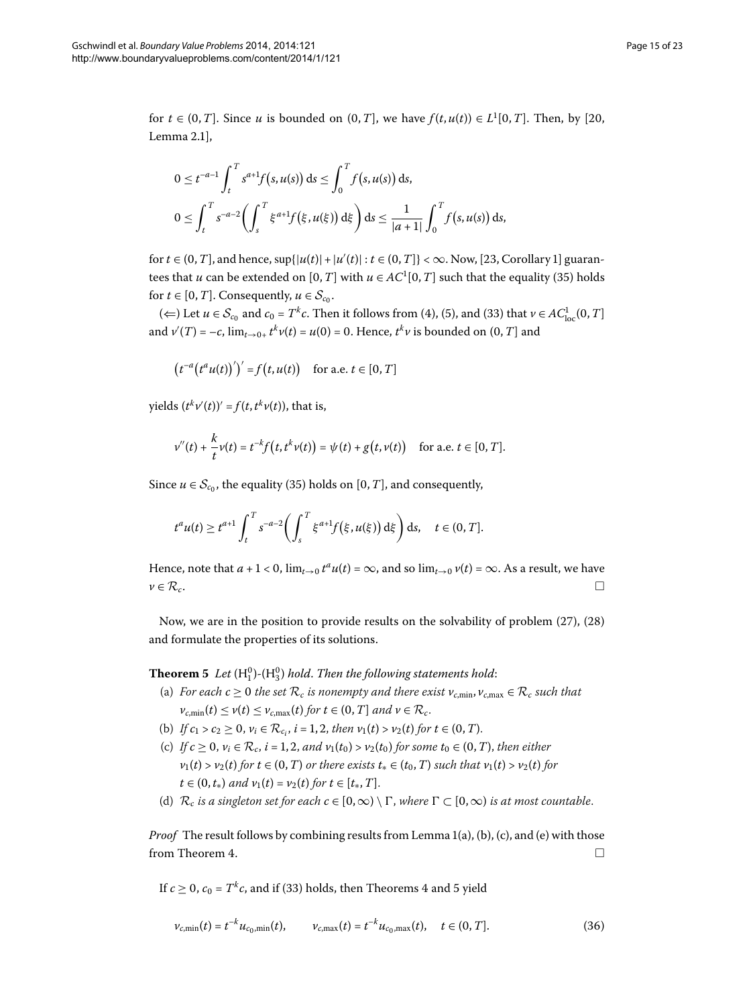for  $t \in (0, T]$  $t \in (0, T]$  $t \in (0, T]$ . Since *u* is bounded on  $(0, T]$ , we have  $f(t, u(t)) \in L^1[0, T]$ . Then, by [20, Lemma  $2.1$ ],

$$
0 \le t^{-a-1} \int_t^T s^{a+1} f(s, u(s)) ds \le \int_0^T f(s, u(s)) ds,
$$
  

$$
0 \le \int_t^T s^{-a-2} \left( \int_s^T \xi^{a+1} f(\xi, u(\xi)) d\xi \right) ds \le \frac{1}{|a+1|} \int_0^T f(s, u(s)) ds,
$$

for  $t \in (0, T]$  $t \in (0, T]$  $t \in (0, T]$ , and hence,  $\sup\{|u(t)| + |u'(t)| : t \in (0, T]\} < \infty$ . Now, [23, Corollary 1] guarantees that *u* can be extended on  $[0, T]$  with  $u \in AC^1[0, T]$  such that the equality (35[\)](#page-13-4) holds for *t*  $\in$  [0, *T*]. Consequently, *u*  $\in$  *S*<sub>*c*0</sub>.

[\(](#page-2-3)  $\Leftarrow$  ) Let *u* ∈  $S_{c_0}$  and  $c_0$  =  $T^k c$ . Then it follows from (4), (5), and (33) that *v* ∈  $AC^1_{loc}(0,T]$ and  $v'(T) = -c$ ,  $\lim_{t \to 0+} t^k v(t) = u(0) = 0$ . Hence,  $t^k v$  is bounded on  $(0, T]$  and

$$
(t^{-a}(t^a u(t))')' = f(t, u(t)) \quad \text{for a.e. } t \in [0, T]
$$

 $y$ ields  $(t^k v'(t))' = f(t, t^k v(t))$ , that is,

$$
v''(t) + \frac{k}{t}v(t) = t^{-k}f(t, t^k v(t)) = \psi(t) + g(t, v(t)) \quad \text{for a.e. } t \in [0, T].
$$

Since  $u \in S_{c_0}$ , the equality [\(](#page-13-4)35) holds on [0, *T*], and consequently,

$$
t^{a}u(t) \geq t^{a+1} \int_{t}^{T} s^{-a-2} \bigg( \int_{s}^{T} \xi^{a+1} f(\xi, u(\xi)) d\xi \bigg) ds, \quad t \in (0, T].
$$

<span id="page-14-0"></span>Hence, note that  $a + 1 < 0$ ,  $\lim_{t\to 0} t^a u(t) = \infty$ , and so  $\lim_{t\to 0} v(t) = \infty$ . As a result, we have  $v \in \mathcal{R}_c$ .

Now, we are in the position to provide results on the solvability of problem  $(27)$  $(27)$ ,  $(28)$ and formulate the properties of its solutions.

**Theorem 5** Let  $(H_1^0)$ - $(H_3^0)$  hold. Then the following statements hold:

- (a) *For each*  $c \ge 0$  *the set*  $\mathcal{R}_c$  *is nonempty and there exist*  $v_{c,\text{min}}$ ,  $v_{c,\text{max}} \in \mathcal{R}_c$  *such that*  $v_{c,\min}(t) \le v(t) \le v_{c,\max}(t)$  *for*  $t \in (0,T]$  *and*  $v \in \mathcal{R}_c$ .
- (b) *If*  $c_1 > c_2 \ge 0$ ,  $v_i \in \mathcal{R}_{c_i}$ ,  $i = 1, 2$ , then  $v_1(t) > v_2(t)$  for  $t \in (0, T)$ .
- (c) *If*  $c \ge 0$ ,  $v_i \in \mathcal{R}_c$ ,  $i = 1, 2$ , and  $v_1(t_0) > v_2(t_0)$  for some  $t_0 \in (0, T)$ , then either  $v_1(t) > v_2(t)$  for  $t \in (0, T)$  *or there exists*  $t_* \in (t_0, T)$  *such that*  $v_1(t) > v_2(t)$  for  $t \in (0, t_*)$  *and*  $v_1(t) = v_2(t)$  *for*  $t \in [t_*, T]$ .
- <span id="page-14-1"></span>(d)  $\mathcal{R}_c$  *is a singleton set for each*  $c \in [0,\infty) \setminus \Gamma$ , where  $\Gamma \subset [0,\infty)$  *is at most countable.*

*Proof* The result follows by combining results from Lemma 1(a), (b), (c), and (e) with those from Theorem 4.  $\Box$ 

If  $c > 0$ ,  $c_0 = T^k c$ , and if (33[\)](#page-13-2) holds, then Theorems 4 and 5 yield

$$
v_{c,\min}(t) = t^{-k} u_{c_0,\min}(t), \qquad v_{c,\max}(t) = t^{-k} u_{c_0,\max}(t), \quad t \in (0,T].
$$
\n(36)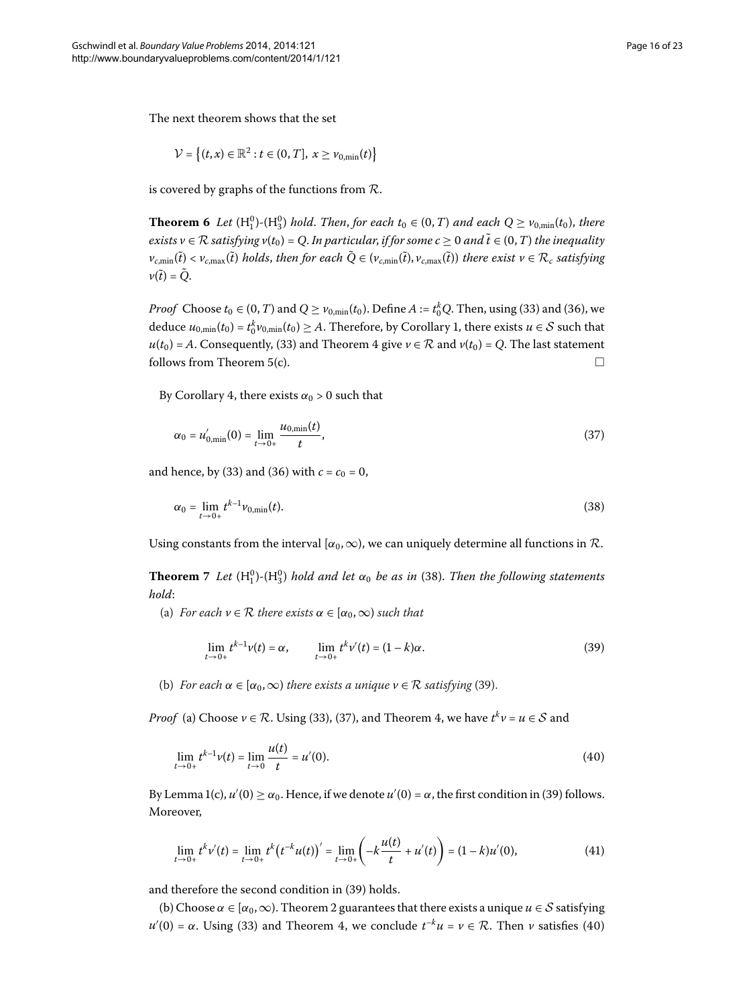<span id="page-15-0"></span>The next theorem shows that the set

$$
\mathcal{V} = \left\{ (t, x) \in \mathbb{R}^2 : t \in (0, T], \ x \ge v_{0, \min}(t) \right\}
$$

is covered by graphs of the functions from  $\mathcal{R}$ .

**Theorem 6** Let  $(H_1^0)$ - $(H_3^0)$  hold. Then, for each  $t_0 \in (0, T)$  and each  $Q \geq v_{0,\text{min}}(t_0)$ , there *exists*  $v ∈ R$  *satisfying*  $v(t_0) = Q$ . *In particular, if for some c*  $≥ 0$  *and t* ∈ (0, *T*) *the inequality*  $v_{c,\min}(\tilde{t}) < v_{c,\max}(\tilde{t})$  holds, then for each  $Q \in (v_{c,\min}(\tilde{t}),v_{c,\max}(\tilde{t}))$  there exist  $v \in \mathcal{R}_c$  satisfying  $v(t) = Q$ .

*Proof* Choose  $t_0 \in (0, T)$  $t_0 \in (0, T)$  and  $Q \ge v_{0,\min}(t_0)$ . Define  $A := t_0^k Q$ . Then, using (33) and (36), we deduce  $u_{0,\min}(t_0) = t_0^k v_{0,\min}(t_0) \ge A$  $u_{0,\min}(t_0) = t_0^k v_{0,\min}(t_0) \ge A$  $u_{0,\min}(t_0) = t_0^k v_{0,\min}(t_0) \ge A$ . Therefore, by Corollary 1, there exists  $u \in S$  such that  $u(t_0) = A$ . Consequently, (33) and Theorem 4 give  $v \in \mathcal{R}$  and  $v(t_0) = Q$ . The last statement follows from Theorem 5(c).  $\Box$ 

By Corollary 4[,](#page-8-1) there exists  $\alpha_0 > 0$  such that

<span id="page-15-4"></span><span id="page-15-2"></span>
$$
\alpha_0 = u'_{0,\min}(0) = \lim_{t \to 0+} \frac{u_{0,\min}(t)}{t},\tag{37}
$$

<span id="page-15-1"></span>and hence, by (33[\)](#page-13-2) and (36) with  $c = c_0 = 0$ ,

$$
\alpha_0 = \lim_{t \to 0+} t^{k-1} \nu_{0,\min}(t). \tag{38}
$$

Using constants from the interval  $[\alpha_0, \infty)$ , we can uniquely determine all functions in R.

**Theorem** 7 Let  $(H_1^0)$  $(H_1^0)$ - $(H_3^0)$  hold and let  $\alpha_0$  be as in (38). Then the following statements *hold*:

(a) *For each*  $v \in \mathcal{R}$  *there exists*  $\alpha \in [\alpha_0, \infty)$  *such that* 

<span id="page-15-6"></span><span id="page-15-5"></span><span id="page-15-3"></span>
$$
\lim_{t \to 0+} t^{k-1} \nu(t) = \alpha, \qquad \lim_{t \to 0+} t^k \nu'(t) = (1-k)\alpha.
$$
 (39)

(b[\)](#page-15-3) *For each*  $\alpha \in [\alpha_0, \infty)$  *there exists a unique*  $\nu \in \mathcal{R}$  *satisfying* (39).

*Proof* (a[\)](#page-15-4) Choose  $v \in \mathcal{R}$ . Using (33), (37), and Theorem 4, we have  $t^k v = u \in \mathcal{S}$  and

$$
\lim_{t \to 0+} t^{k-1} \nu(t) = \lim_{t \to 0} \frac{u(t)}{t} = u'(0). \tag{40}
$$

By Lemma 1(c[\)](#page-15-3),  $u'(0) \ge \alpha_0$ . Hence, if we denote  $u'(0) = \alpha$ , the first condition in (39) follows. Moreover,

$$
\lim_{t \to 0+} t^k v'(t) = \lim_{t \to 0+} t^k (t^{-k} u(t))' = \lim_{t \to 0+} \left( -k \frac{u(t)}{t} + u'(t) \right) = (1 - k) u'(0), \tag{41}
$$

and therefore the second condition in (39[\)](#page-15-3) holds.

(b) Choose  $\alpha \in [\alpha_0, \infty)$ . Theorem 2 guarantees that there exists a unique  $u \in \mathcal{S}$  satisfying *u*<sup> $′$ </sup>[\(](#page-15-5)0) = *α*. Using (33) and Theorem 4, we conclude *t*<sup>−*k*</sup>*u* = *ν* ∈ *R*. Then *ν* satisfies (40)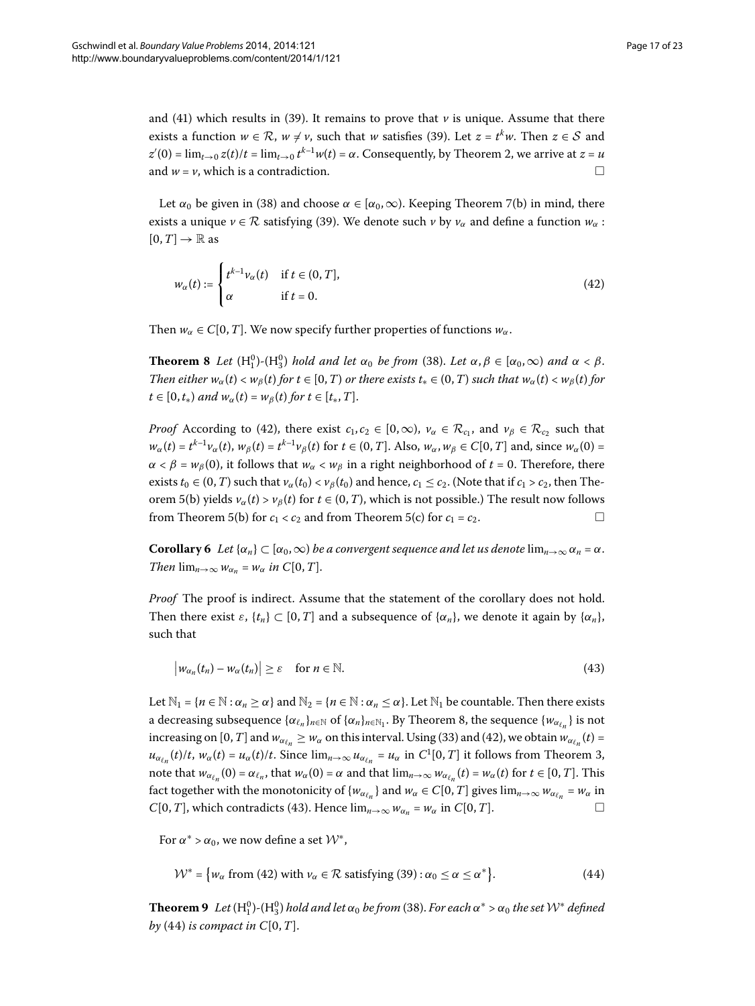and (41[\)](#page-15-3) which results in (39). It remains to prove that  $\nu$  is unique. Assume that there exists a function  $w \in \mathcal{R}$ ,  $w \neq v$ , such that  $w$  satisfies (39[\)](#page-15-3). Let  $z = t^k w$ . Then  $z \in \mathcal{S}$  and  $z'(0) = \lim_{t \to 0} z(t)/t = \lim_{t \to 0} t^{k-1}w(t) = \alpha$ . Consequently, by Theorem 2, we arrive at  $z = u$ and  $w = v$ , which is a contradiction.

<span id="page-16-2"></span><span id="page-16-0"></span>Let  $\alpha_0$  be given in (38) and choose  $\alpha \in [\alpha_0, \infty)$ . Keeping Theorem 7(b) in mind, there exists a unique  $\nu \in \mathcal{R}$  satisfying [\(](#page-15-3)39). We denote such  $\nu$  by  $\nu_{\alpha}$  and define a function  $w_{\alpha}$ :  $[0, T] \rightarrow \mathbb{R}$  as

$$
w_{\alpha}(t) := \begin{cases} t^{k-1} v_{\alpha}(t) & \text{if } t \in (0, T], \\ \alpha & \text{if } t = 0. \end{cases}
$$
 (42)

Then  $w_\alpha \in C[0, T]$ . We now specify further properties of functions  $w_\alpha$ .

**Theorem 8** Let  $(H_1^0)$ - $(H_3^0)$  hold and let  $\alpha_0$  be from (38). Let  $\alpha, \beta \in [\alpha_0, \infty)$  and  $\alpha < \beta$ . *Then either*  $w_{\alpha}(t) < w_{\beta}(t)$  *for*  $t \in [0, T)$  *or there exists*  $t_* \in (0, T)$  *such that*  $w_{\alpha}(t) < w_{\beta}(t)$  *for*  $t \in [0, t_*)$  *and*  $w_\alpha(t) = w_\beta(t)$  *for*  $t \in [t_*, T]$ .

<span id="page-16-5"></span>*Proof* According to (42), there exist  $c_1, c_2 \in [0, \infty)$ ,  $v_\alpha \in \mathcal{R}_{c_1}$ , and  $v_\beta \in \mathcal{R}_{c_2}$  such that  $w_{\alpha}(t) = t^{k-1}v_{\alpha}(t)$ ,  $w_{\beta}(t) = t^{k-1}v_{\beta}(t)$  for  $t \in (0, T]$ . Also,  $w_{\alpha}, w_{\beta} \in C[0, T]$  and, since  $w_{\alpha}(0) =$  $\alpha < \beta = w_{\beta}(0)$ , it follows that  $w_{\alpha} < w_{\beta}$  in a right neighborhood of  $t = 0$ . Therefore, there exists  $t_0 \in (0, T)$  such that  $v_\alpha(t_0) < v_\beta(t_0)$  and hence,  $c_1 \leq c_2$ . (Note that if  $c_1 > c_2$ , then Theorem 5(b) yields  $v_\alpha(t) > v_\beta(t)$  for  $t \in (0, T)$ , which is not possible.) The result now follows from Theorem 5[\(](#page-14-0)b) for  $c_1 < c_2$  and from Theorem 5(c) for  $c_1 = c_2$ .

**Corollary 6** *Let* { $\alpha_n$ }  $\subset$  [ $\alpha_0$ , $\infty$ ) *be a convergent sequence and let us denote* lim<sub>*n*→ $\infty$ </sub>  $\alpha_n$  =  $\alpha$ . *Then*  $\lim_{n\to\infty} w_{\alpha_n} = w_\alpha$  *in*  $C[0, T]$ .

*Proof* The proof is indirect. Assume that the statement of the corollary does not hold. Then there exist  $\varepsilon$ ,  $\{t_n\} \subset [0, T]$  and a subsequence of  $\{\alpha_n\}$ , we denote it again by  $\{\alpha_n\}$ , such that

<span id="page-16-4"></span><span id="page-16-3"></span> $|w_{\alpha_n}(t_n) - w_{\alpha}(t_n)| \ge \varepsilon \quad \text{for } n \in \mathbb{N}.$  (43)

Let  $\mathbb{N}_1 = \{n \in \mathbb{N} : \alpha_n \ge \alpha\}$  and  $\mathbb{N}_2 = \{n \in \mathbb{N} : \alpha_n \le \alpha\}$ . Let  $\mathbb{N}_1$  be countable. Then there exists a decreasing subsequence  $\{\alpha_{\ell_n}\}_{n \in \mathbb{N}}$  of  $\{\alpha_n\}_{n \in \mathbb{N}}$ . By Theorem 8, the sequence  $\{\omega_{\alpha_{\ell_n}}\}$  is not increasing on [0, *T*] and  $w_{\alpha_{\ell,n}} \geq w_\alpha$  on this interval. Using (33[\)](#page-13-2) and (42), we obtain  $w_{\alpha_{\ell,n}}(t) =$  $u_{\alpha_{\ell_n}}(t)/t$ [,](#page-10-1)  $w_\alpha(t) = u_\alpha(t)/t$ . Since  $\lim_{n\to\infty} u_{\alpha_{\ell_n}} = u_\alpha$  in  $C^1[0,T]$  it follows from Theorem 3, note that  $w_{\alpha_{\ell_n}}(0) = \alpha_{\ell_n}$ , that  $w_{\alpha}(0) = \alpha$  and that  $\lim_{n \to \infty} w_{\alpha_{\ell_n}}(t) = w_{\alpha}(t)$  for  $t \in [0, T]$ . This fact together with the monotonicity of  $\{w_{\alpha_{\ell_n}}\}$  and  $w_{\alpha} \in C[0, T]$  gives  $\lim_{n\to\infty} w_{\alpha_{\ell_n}} = w_{\alpha}$  in *C*[0,*T*], which contradicts (43). Hence  $\lim_{n\to\infty} w_{\alpha_n} = w_{\alpha}$  in *C*[0,*T*].

<span id="page-16-1"></span>For  $\alpha^*$  >  $\alpha_0$ , we now define a set  $\mathcal{W}^*$ ,

$$
\mathcal{W}^* = \{ w_\alpha \text{ from (42) with } v_\alpha \in \mathcal{R} \text{ satisfying (39)} : \alpha_0 \le \alpha \le \alpha^* \}. \tag{44}
$$

**Theorem 9** Let  $(H_1^0)$  $(H_1^0)$ - $(H_3^0)$  hold and let  $\alpha_0$  be from (38). For each  $\alpha^* > \alpha_0$  the set  $\mathcal{W}^*$  defined *by* [\(](#page-16-4)44) *is compact in*  $C[0, T]$ *.*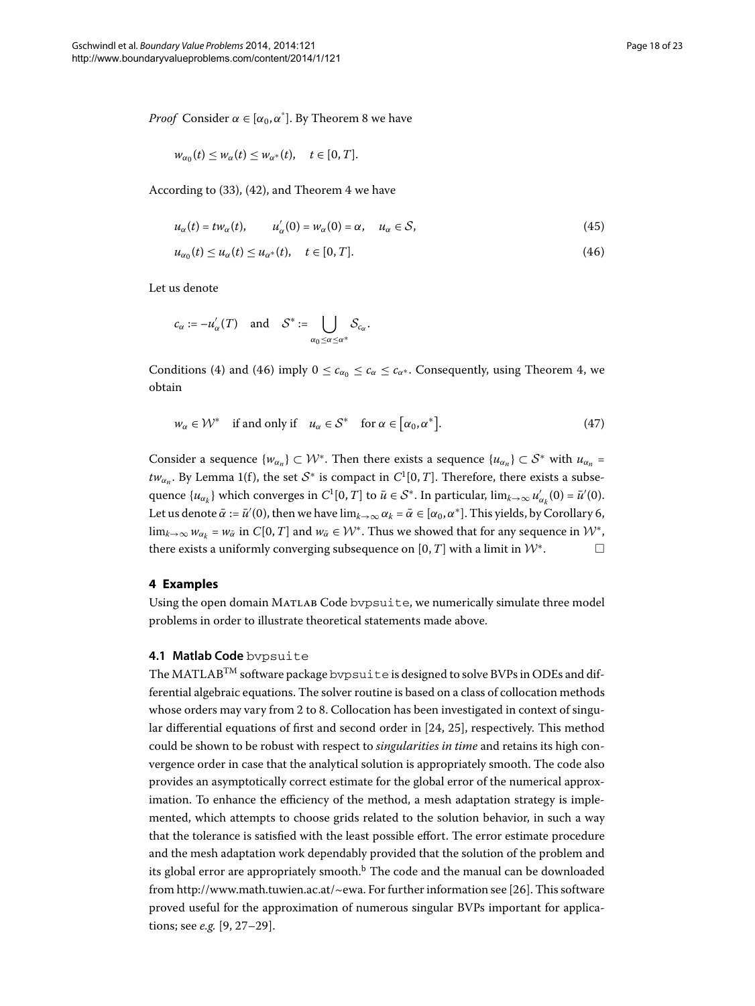*Proof* Consider  $\alpha \in [\alpha_0, \alpha^*]$ . By Theorem 8 we have

<span id="page-17-1"></span>
$$
w_{\alpha_0}(t) \leq w_{\alpha}(t) \leq w_{\alpha^*}(t), \quad t \in [0, T].
$$

According to  $(33)$  $(33)$ ,  $(42)$ , and Theorem 4 we have

$$
u_{\alpha}(t) = tw_{\alpha}(t), \qquad u_{\alpha}'(0) = w_{\alpha}(0) = \alpha, \quad u_{\alpha} \in S,
$$
\n
$$
(45)
$$

$$
u_{\alpha_0}(t) \le u_{\alpha}(t) \le u_{\alpha^*}(t), \quad t \in [0, T]. \tag{46}
$$

Let us denote

$$
c_{\alpha} := -u'_{\alpha}(T) \quad \text{and} \quad \mathcal{S}^* := \bigcup_{\alpha_0 \leq \alpha \leq \alpha^*} \mathcal{S}_{c_{\alpha}}.
$$

Conditions (4) and (46) imply  $0 \leq c_{\alpha} \leq c_{\alpha} \leq c_{\alpha}$ . Consequently, using Theorem 4, we obtain

$$
w_{\alpha} \in \mathcal{W}^* \quad \text{if and only if} \quad u_{\alpha} \in \mathcal{S}^* \quad \text{for } \alpha \in [\alpha_0, \alpha^*]. \tag{47}
$$

<span id="page-17-0"></span>Consider a sequence  $\{w_{\alpha} \} \subset \mathcal{W}^*$ . Then there exists a sequence  $\{u_{\alpha} \} \subset \mathcal{S}^*$  with  $u_{\alpha}$  = *tw*<sub>*αn*</sub>. By Lemma 1(f), the set  $S^*$  is compact in  $C^1[0,T]$ . Therefore, there exists a subsequence  $\{u_{\alpha_k}\}$  which converges in  $C^1[0,T]$  to  $\bar{u} \in S^*$ . In particular,  $\lim_{k\to\infty} u'_{\alpha_k}(0) = \bar{u}'(0)$ . Let us denote  $\bar{\alpha} := \bar{u}'(0)$ , then we have  $\lim_{k \to \infty} \alpha_k = \bar{\alpha} \in [\alpha_0, \alpha^*]$ . This yields, by Corollary 6,  $\lim_{k\to\infty} w_{\alpha_k} = w_{\overline{\alpha}}$  in *C*[0, *T*] and  $w_{\overline{\alpha}} \in \mathcal{W}^*$ . Thus we showed that for any sequence in  $\mathcal{W}^*$ , there exists a uniformly converging subsequence on  $[0, T]$  with a limit in  $\mathcal{W}^*$ .  $\Box$ 

#### **4 Examples**

Using the open domain Matlab Code bvpsuite, we numerically simulate three model problems in order to illustrate theoretical statements made above.

#### **4.1 Matlab Code** bvpsuite

The MATLAB<sup>TM</sup> software package bypsuite is designed to solve BVPs in ODEs and differential algebraic equations. The solver routine is based on a class of collocation methods whose orders may vary from 2 to 8. Collocation has been investigated in context of singular differential equations of first and second order in  $[24, 25]$  $[24, 25]$ , respectively. This method could be shown to be robust with respect to *singularities in time* and retains its high convergence order in case that the analytical solution is appropriately smooth. The code also provides an asymptotically correct estimate for the global error of the numerical approximation. To enhance the efficiency of the method, a mesh adaptation strategy is implemented, which attempts to choose grids related to the solution behavior, in such a way that the tolerance is satisfied with the least possible effort. The error estimate procedure and the mesh adaptation work dependably provided that the solution of the problem and its glo[b](#page-21-12)al error are appropriately smooth. $<sup>b</sup>$  The code and the manual can be downloaded</sup> from [http://www.math.tuwien.ac.at/~ewa.](http://www.math.tuwien.ac.at/~ewa) For further information see [26]. This software proved useful for the approximation of numerous singular BVPs important for applications; see *e.g.* [9, 27[–](#page-22-13)29[\]](#page-22-14).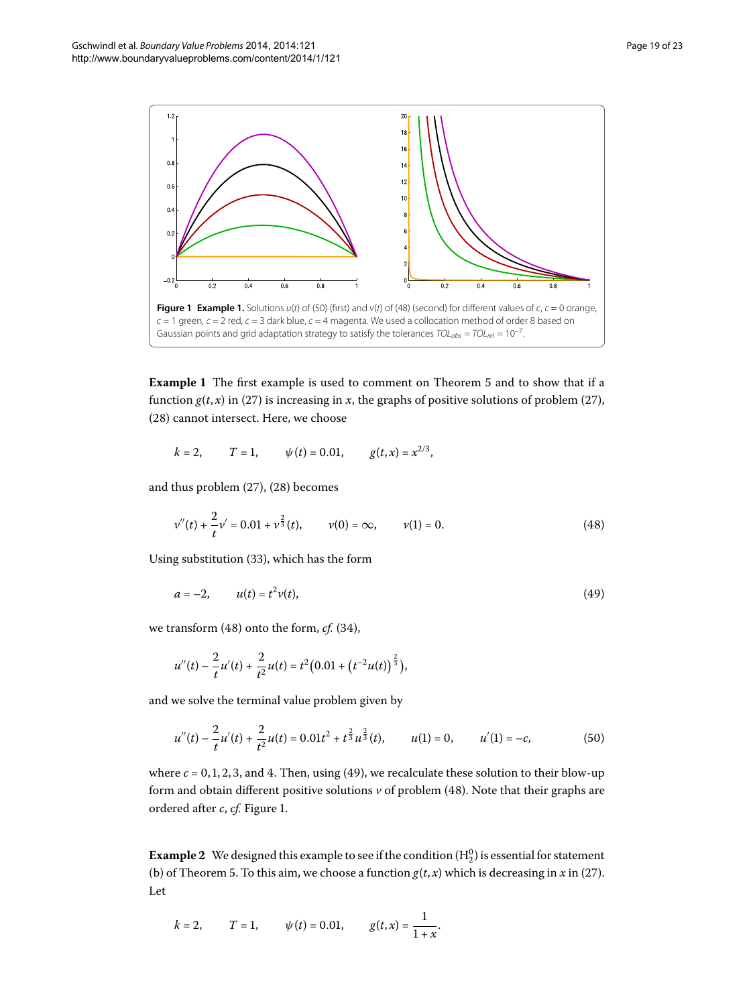<span id="page-18-4"></span>

<span id="page-18-0"></span>**Example 1** The first example is used to comment on Theorem 5 and to show that if a function  $g(t, x)$  $g(t, x)$  in (27) is increasing in *x*, the graphs of positive solutions of problem (27), (28[\)](#page-12-1) cannot intersect. Here, we choose

<span id="page-18-3"></span><span id="page-18-2"></span>
$$
k = 2,
$$
  $T = 1,$   $\psi(t) = 0.01,$   $g(t,x) = x^{2/3},$ 

and thus problem  $(27)$  $(27)$ ,  $(28)$  becomes

$$
\nu''(t) + \frac{2}{t}\nu' = 0.01 + \nu^{\frac{2}{3}}(t), \qquad \nu(0) = \infty, \qquad \nu(1) = 0.
$$
 (48)

Using substitution (33[\)](#page-13-2), which has the form

<span id="page-18-1"></span>
$$
a = -2, \t u(t) = t^2 v(t), \t (49)
$$

we transform  $(48)$  onto the form,  $cf.$   $(34)$ ,

$$
u''(t) - \frac{2}{t}u'(t) + \frac{2}{t^2}u(t) = t^2(0.01 + (t^{-2}u(t))^{\frac{2}{3}}),
$$

and we solve the terminal value problem given by

$$
u''(t) - \frac{2}{t}u'(t) + \frac{2}{t^2}u(t) = 0.01t^2 + t^{\frac{2}{3}}u^{\frac{2}{3}}(t), \qquad u(1) = 0, \qquad u'(1) = -c,\tag{50}
$$

<span id="page-18-5"></span>where  $c = 0, 1, 2, 3$ , and 4. Then, using [\(](#page-18-3)49), we recalculate these solution to their blow-up form and obtain different positive solutions  $\nu$  of problem (48). Note that their graphs are ordered after *c*, *cf*[.](#page-18-4) Figure 1.

**Example 2** We designed this example to see if the condition  $(H_2^0)$  is essential for statement (b) of Theorem 5[.](#page-14-0) To this aim, we choose a function  $g(t, x)$  $g(t, x)$  which is decreasing in *x* in (27). Let

$$
k = 2
$$
,  $T = 1$ ,  $\psi(t) = 0.01$ ,  $g(t, x) = \frac{1}{1 + x}$ .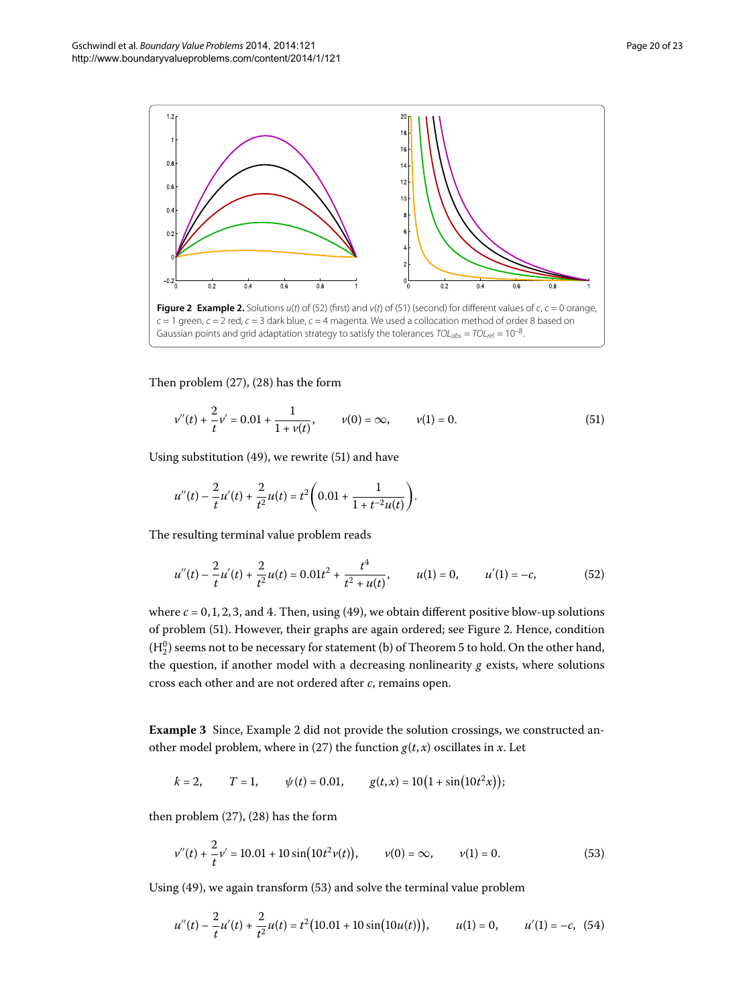<span id="page-19-2"></span>

Then problem  $(27)$  $(27)$ ,  $(28)$  has the form

<span id="page-19-1"></span>
$$
v''(t) + \frac{2}{t}v' = 0.01 + \frac{1}{1 + v(t)}, \qquad v(0) = \infty, \qquad v(1) = 0.
$$
 (51)

Using substitution [\(](#page-19-1)49), we rewrite (51) and have

<span id="page-19-0"></span>
$$
u''(t) - \frac{2}{t}u'(t) + \frac{2}{t^2}u(t) = t^2 \left(0.01 + \frac{1}{1 + t^{-2}u(t)}\right).
$$

The resulting terminal value problem reads

$$
u''(t) - \frac{2}{t}u'(t) + \frac{2}{t^2}u(t) = 0.01t^2 + \frac{t^4}{t^2 + u(t)}, \qquad u(1) = 0, \qquad u'(1) = -c,\tag{52}
$$

<span id="page-19-4"></span>where  $c = 0, 1, 2, 3$ , and 4. Then, using (49), we obtain different positive blow-up solutions of problem [\(](#page-19-1)51). However, their graphs are again ordered; see Figure 2. Hence, condition  $({\rm H_2^0})$  seems not to be necessary for statement (b) of Theorem 5 to hold. On the other hand, the question, if another model with a decreasing nonlinearity *g* exists, where solutions cross each other and are not ordered after *c*, remains open.

**Example 3** Since, Example 2 did not provide the solution crossings, we constructed an-other model problem, where in [\(](#page-12-0)27) the function  $g(t, x)$  oscillates in *x*. Let

<span id="page-19-3"></span>
$$
k = 2,
$$
  $T = 1,$   $\psi(t) = 0.01,$   $g(t,x) = 10(1 + \sin(10t^2 x));$ 

then problem  $(27)$  $(27)$ ,  $(28)$  has the form

<span id="page-19-5"></span>
$$
v''(t) + \frac{2}{t}v' = 10.01 + 10\sin(10t^2v(t)), \qquad v(0) = \infty, \qquad v(1) = 0.
$$
 (53)

Using  $(49)$ , we again transform  $(53)$  and solve the terminal value problem

$$
u''(t) - \frac{2}{t}u'(t) + \frac{2}{t^2}u(t) = t^2(10.01 + 10\sin(10u(t))), \qquad u(1) = 0, \qquad u'(1) = -c, \tag{54}
$$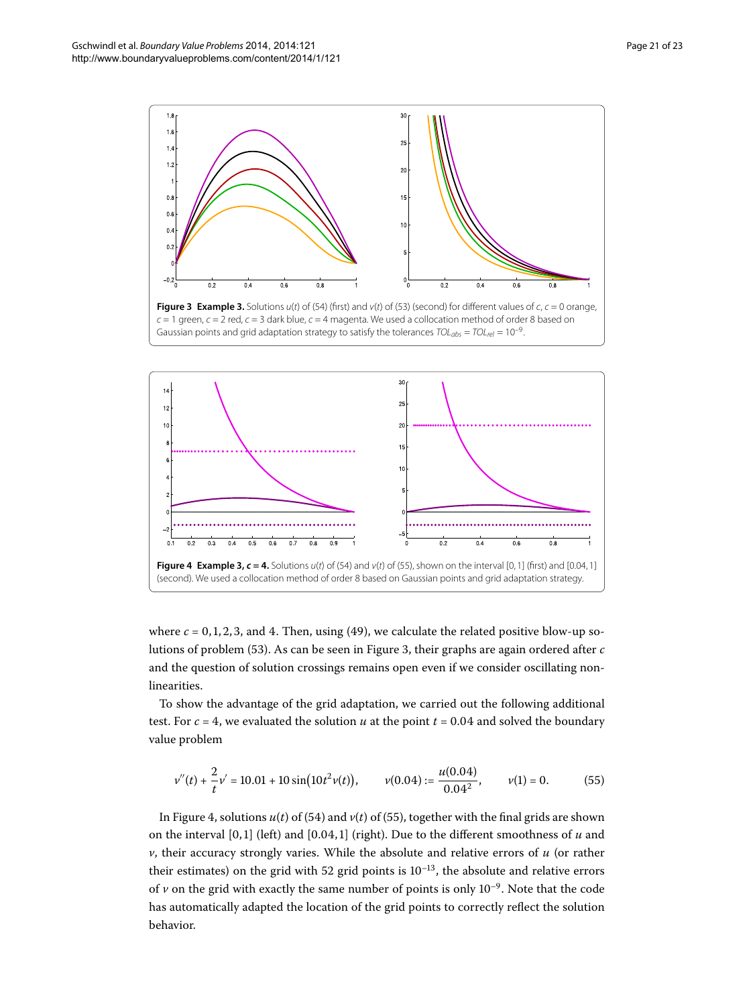<span id="page-20-1"></span>

<span id="page-20-2"></span>**Figure [3](#page-19-4) Example 3.** Solutions  $u(t)$  of ([54](#page-19-5)) (first) and  $v(t)$  of ([53\)](#page-19-3) (second) for different values of  $c$ ,  $c = 0$  orange,  $c = 1$  green,  $c = 2$  red,  $c = 3$  dark blue,  $c = 4$  magenta. We used a collocation method of order 8 based on Gaussian points and grid adaptation strategy to satisfy the tolerances  $TOL_{abs} = TOL_{rel} = 10^{-9}$ .



where  $c = 0, 1, 2, 3$ , and 4. Then, using (49), we calculate the related positive blow-up so-lutions of problem [\(](#page-19-3)53). As can be seen in Figure 3, their graphs are again ordered after *c* and the question of solution crossings remains open even if we consider oscillating nonlinearities.

To show the advantage of the grid adaptation, we carried out the following additional test. For  $c = 4$ , we evaluated the solution *u* at the point  $t = 0.04$  and solved the boundary value problem

<span id="page-20-0"></span>
$$
v''(t) + \frac{2}{t}v' = 10.01 + 10\sin(10t^2v(t)), \qquad v(0.04) := \frac{u(0.04)}{0.04^2}, \qquad v(1) = 0. \tag{55}
$$

In Figure 4, solutions  $u(t)$  $u(t)$  $u(t)$  of (54) and  $v(t)$  of (55), together with the final grids are shown on the interval  $[0, 1]$  (left) and  $[0.04, 1]$  (right). Due to the different smoothness of *u* and *v*, their accuracy strongly varies. While the absolute and relative errors of *u* (or rather their estimates) on the grid with 52 grid points is  $10^{-13}$ , the absolute and relative errors of  $\nu$  on the grid with exactly the same number of points is only  $10^{-9}$ . Note that the code has automatically adapted the location of the grid points to correctly reflect the solution behavior.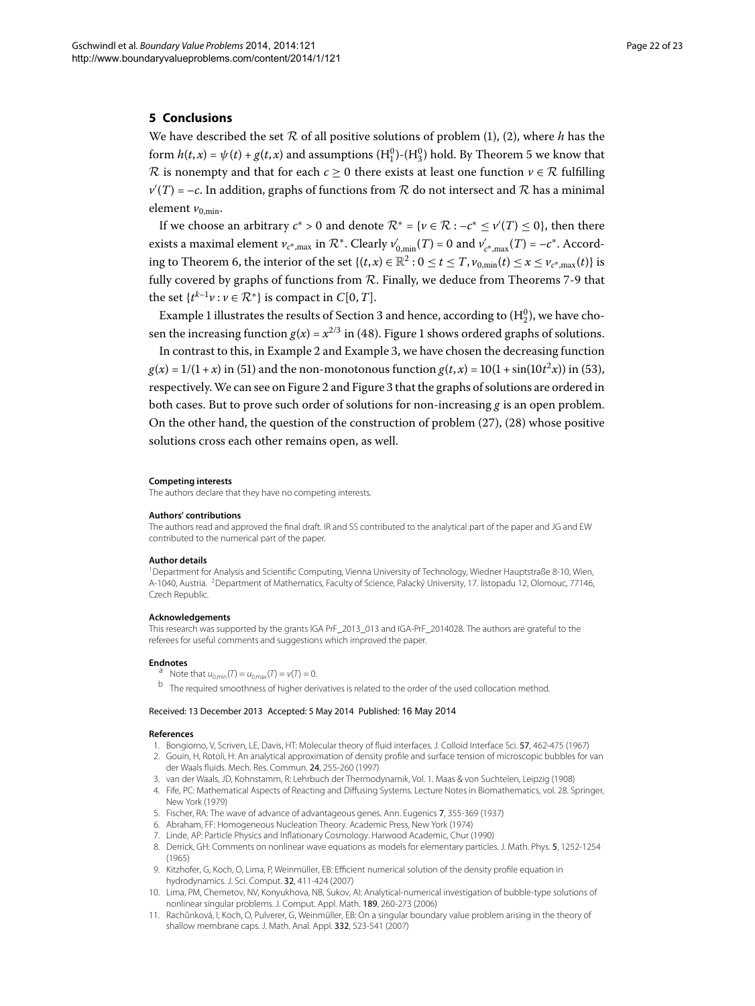#### <span id="page-21-10"></span>**5 Conclusions**

We have described the set  $R$  of all positive solutions of problem (1[\)](#page-1-0), (2), where  $h$  has the form  $h(t, x) = \psi(t) + g(t, x)$  and assumptions  $(H_1^0)$ - $(H_3^0)$  hold. By Theorem 5 we know that R is nonempty and that for each  $c > 0$  there exists at least one function  $v \in \mathcal{R}$  fulfilling  $v'(T)$  =  $-c$ . In addition, graphs of functions from  $R$  do not intersect and  $R$  has a minimal element  $v_{0,\text{min}}$ .

If we choose an arbitrary  $c^* > 0$  and denote  $\mathcal{R}^* = \{ \nu \in \mathcal{R} : -c^* \le \nu'(T) \le 0 \}$ , then there exists a maximal element  $v_{c^*,max}$  in  $\mathcal{R}^*$ . Clearly  $v'_{0,\min}(T)$  = 0 and  $v'_{c^*,max}(T)$  = – $c^*$ . According to Theorem 6, the interior of the set  $\{(t, x) \in \mathbb{R}^2 : 0 \le t \le T, v_{0,\text{min}}(t) \le x \le v_{c^*,\text{max}}(t)\}\)$  is fully covered by graphs of functions from  $R$ . Finally, we deduce from Theorems 7[-](#page-16-1)9 that the set  $\{t^{k-1}v : v \in \mathbb{R}^*\}$  is compact in  $C[0, T]$ .

Example 1 illustrates the results of Section 3 and hence, according to  $(H_2^0)$ , we have chosen the increasing function  $g(x) = x^{2/3}$  $g(x) = x^{2/3}$  $g(x) = x^{2/3}$  in (48). Figure 1 shows ordered graphs of solutions.

In contrast to this[,](#page-19-4) in Example 2 and Example 3, we have chosen the decreasing function  $g(x) = 1/(1 + x)$  $g(x) = 1/(1 + x)$  $g(x) = 1/(1 + x)$  in (51) and the non-monotonous function  $g(t, x) = 10(1 + \sin(10t^2 x))$  in (53), respectively. We can see on Figure 2 and Figure 3 that the graphs of solutions are ordered in both cases. But to prove such order of solutions for non-increasing *g* is an open problem. On the other hand, the question of the construction of problem  $(27)$  $(27)$ ,  $(28)$  whose positive solutions cross each other remains open, as well.

#### <span id="page-21-1"></span><span id="page-21-0"></span>**Competing interests**

The authors declare that they have no competing interests.

#### **Authors' contributions**

The authors read and approved the final draft. IR and SS contributed to the analytical part of the paper and JG and EW contributed to the numerical part of the paper.

#### <span id="page-21-11"></span>**Author details**

<span id="page-21-12"></span>1Department for Analysis and Scientific Computing, Vienna University of Technology, Wiedner Hauptstraße 8-10, Wien, A-1040, Austria. <sup>2</sup>Department of Mathematics, Faculty of Science, Palacký University, 17. listopadu 12, Olomouc, 77146, Czech Republic.

#### **Acknowledgements**

<span id="page-21-2"></span>This research was supported by the grants IGA PrF\_2013\_013 and IGA-PrF\_2014028. The authors are grateful to the referees for useful comments and suggestions which improved the paper.

- <span id="page-21-4"></span><span id="page-21-3"></span>**Endnotes**<br>
<sup>a</sup> Note that  $u_{0,\text{min}}(T) = u_{0,\text{max}}(T) = v(T) = 0$ .
	- <sup>b</sup> The required smoothness of higher derivatives is related to the order of the used collocation method.

#### <span id="page-21-7"></span><span id="page-21-6"></span><span id="page-21-5"></span>Received: 13 December 2013 Accepted: 5 May 2014 Published: 16 May 2014

#### <span id="page-21-9"></span><span id="page-21-8"></span>**References**

- 1. Bongiorno, V, Scriven, LE, Davis, HT: Molecular theory of fluid interfaces. J. Colloid Interface Sci. 57, 462-475 (1967) 2. Gouin, H, Rotoli, H: An analytical approximation of density profile and surface tension of microscopic bubbles for van der Waals fluids. Mech. Res. Commun. 24, 255-260 (1997)
- 3. van der Waals, JD, Kohnstamm, R: Lehrbuch der Thermodynamik, Vol. 1. Maas & von Suchtelen, Leipzig (1908)
- 4. Fife, PC: Mathematical Aspects of Reacting and Diffusing Systems. Lecture Notes in Biomathematics, vol. 28. Springer, New York (1979)
- 5. Fischer, RA: The wave of advance of advantageous genes. Ann. Eugenics 7, 355-369 (1937)
- 6. Abraham, FF: Homogeneous Nucleation Theory. Academic Press, New York (1974)
- 7. Linde, AP: Particle Physics and Inflationary Cosmology. Harwood Academic, Chur (1990)
- 8. Derrick, GH: Comments on nonlinear wave equations as models for elementary particles. J. Math. Phys. 5, 1252-1254 (1965)
- 9. Kitzhofer, G, Koch, O, Lima, P, Weinmüller, EB: Efficient numerical solution of the density profile equation in hydrodynamics. J. Sci. Comput. 32, 411-424 (2007)
- 10. Lima, PM, Chemetov, NV, Konyukhova, NB, Sukov, AI: Analytical-numerical investigation of bubble-type solutions of nonlinear singular problems. J. Comput. Appl. Math. 189, 260-273 (2006)
- 11. Rachůnková, I, Koch, O, Pulverer, G, Weinmüller, EB: On a singular boundary value problem arising in the theory of shallow membrane caps. J. Math. Anal. Appl. 332, 523-541 (2007)